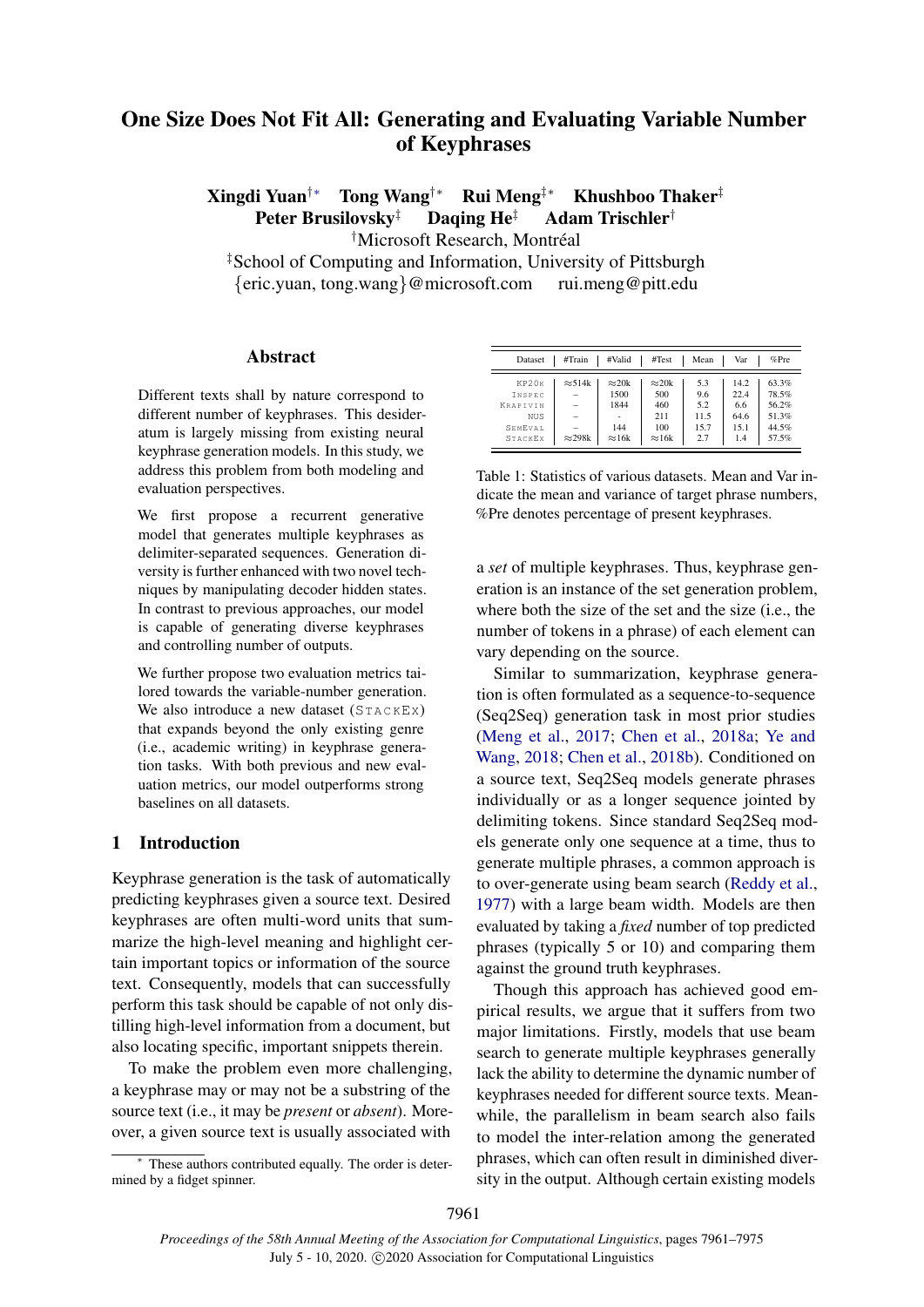# One Size Does Not Fit All: Generating and Evaluating Variable Number of Keyphrases

Xingdi Yuan†∗ Tong Wang†∗ Rui Meng‡∗ Khushboo Thaker‡ Peter Brusilovsky<sup>‡</sup> Daqing He<sup>‡</sup> Adam Trischler<sup>†</sup>

<sup>†</sup>Microsoft Research, Montréal

‡School of Computing and Information, University of Pittsburgh

{eric.yuan, tong.wang}@microsoft.com rui.meng@pitt.edu

# Abstract

Different texts shall by nature correspond to different number of keyphrases. This desideratum is largely missing from existing neural keyphrase generation models. In this study, we address this problem from both modeling and evaluation perspectives.

We first propose a recurrent generative model that generates multiple keyphrases as delimiter-separated sequences. Generation diversity is further enhanced with two novel techniques by manipulating decoder hidden states. In contrast to previous approaches, our model is capable of generating diverse keyphrases and controlling number of outputs.

We further propose two evaluation metrics tailored towards the variable-number generation. We also introduce a new dataset  $(STACKEX)$ that expands beyond the only existing genre (i.e., academic writing) in keyphrase generation tasks. With both previous and new evaluation metrics, our model outperforms strong baselines on all datasets.

# <span id="page-0-1"></span>1 Introduction

Keyphrase generation is the task of automatically predicting keyphrases given a source text. Desired keyphrases are often multi-word units that summarize the high-level meaning and highlight certain important topics or information of the source text. Consequently, models that can successfully perform this task should be capable of not only distilling high-level information from a document, but also locating specific, important snippets therein.

To make the problem even more challenging, a keyphrase may or may not be a substring of the source text (i.e., it may be *present* or *absent*). Moreover, a given source text is usually associated with

These authors contributed equally. The order is determined by a fidget spinner.

<span id="page-0-0"></span>

| Dataset  | #Train         | #Valid        | #Test         | Mean | Var  | $%$ Pre |
|----------|----------------|---------------|---------------|------|------|---------|
| KP20K    | $\approx$ 514k | $\approx 20k$ | $\approx 20k$ | 5.3  | 14.2 | 63.3%   |
| INSPEC   |                | 1500          | 500           | 9.6  | 22.4 | 78.5%   |
| KRAPTVIN |                | 1844          | 460           | 5.2  | 6.6  | 56.2%   |
| NUS      | $=$            |               | 211           | 11.5 | 64.6 | 51.3%   |
| SEMEVAL. |                | 144           | 100           | 15.7 | 15.1 | 44.5%   |
| STACKEX  | $\approx$ 298k | $\approx$ 16k | $\approx$ 16k | 2.7  | 1.4  | 57.5%   |

Table 1: Statistics of various datasets. Mean and Var indicate the mean and variance of target phrase numbers, %Pre denotes percentage of present keyphrases.

a *set* of multiple keyphrases. Thus, keyphrase generation is an instance of the set generation problem, where both the size of the set and the size (i.e., the number of tokens in a phrase) of each element can vary depending on the source.

Similar to summarization, keyphrase generation is often formulated as a sequence-to-sequence (Seq2Seq) generation task in most prior studies [\(Meng et al.,](#page-9-0) [2017;](#page-9-0) [Chen et al.,](#page-8-0) [2018a;](#page-8-0) [Ye and](#page-9-1) [Wang,](#page-9-1) [2018;](#page-9-1) [Chen et al.,](#page-8-1) [2018b\)](#page-8-1). Conditioned on a source text, Seq2Seq models generate phrases individually or as a longer sequence jointed by delimiting tokens. Since standard Seq2Seq models generate only one sequence at a time, thus to generate multiple phrases, a common approach is to over-generate using beam search [\(Reddy et al.,](#page-9-2) [1977\)](#page-9-2) with a large beam width. Models are then evaluated by taking a *fixed* number of top predicted phrases (typically 5 or 10) and comparing them against the ground truth keyphrases.

Though this approach has achieved good empirical results, we argue that it suffers from two major limitations. Firstly, models that use beam search to generate multiple keyphrases generally lack the ability to determine the dynamic number of keyphrases needed for different source texts. Meanwhile, the parallelism in beam search also fails to model the inter-relation among the generated phrases, which can often result in diminished diversity in the output. Although certain existing models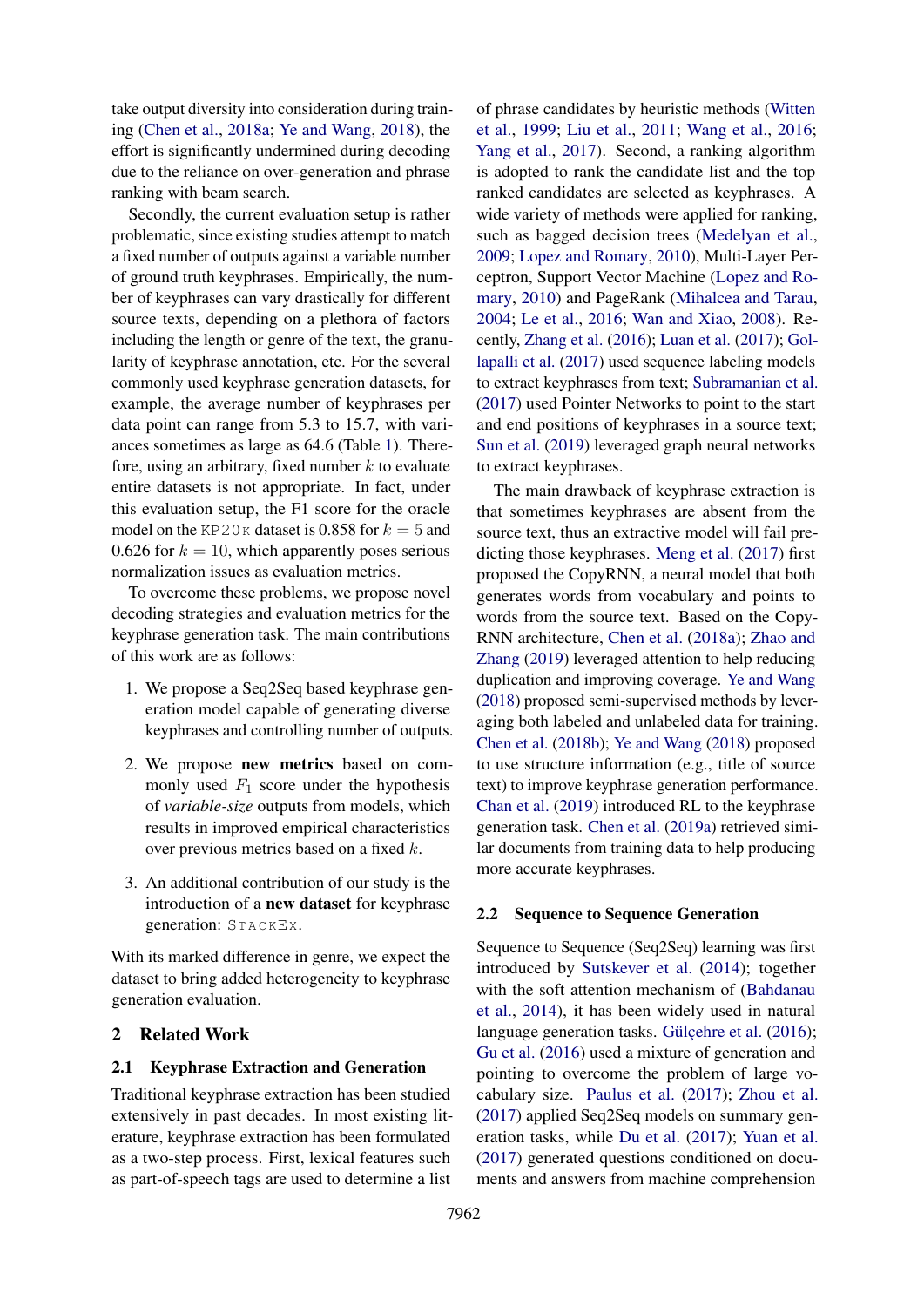take output diversity into consideration during training [\(Chen et al.,](#page-8-0) [2018a;](#page-8-0) [Ye and Wang,](#page-9-1) [2018\)](#page-9-1), the effort is significantly undermined during decoding due to the reliance on over-generation and phrase ranking with beam search.

Secondly, the current evaluation setup is rather problematic, since existing studies attempt to match a fixed number of outputs against a variable number of ground truth keyphrases. Empirically, the number of keyphrases can vary drastically for different source texts, depending on a plethora of factors including the length or genre of the text, the granularity of keyphrase annotation, etc. For the several commonly used keyphrase generation datasets, for example, the average number of keyphrases per data point can range from 5.3 to 15.7, with variances sometimes as large as 64.6 (Table [1\)](#page-0-0). Therefore, using an arbitrary, fixed number  $k$  to evaluate entire datasets is not appropriate. In fact, under this evaluation setup, the F1 score for the oracle model on the KP20K dataset is 0.858 for  $k = 5$  and 0.626 for  $k = 10$ , which apparently poses serious normalization issues as evaluation metrics.

To overcome these problems, we propose novel decoding strategies and evaluation metrics for the keyphrase generation task. The main contributions of this work are as follows:

- 1. We propose a Seq2Seq based keyphrase generation model capable of generating diverse keyphrases and controlling number of outputs.
- 2. We propose new metrics based on commonly used  $F_1$  score under the hypothesis of *variable-size* outputs from models, which results in improved empirical characteristics over previous metrics based on a fixed k.
- 3. An additional contribution of our study is the introduction of a new dataset for keyphrase generation: ST A C KEX.

With its marked difference in genre, we expect the dataset to bring added heterogeneity to keyphrase generation evaluation.

# 2 Related Work

# 2.1 Keyphrase Extraction and Generation

Traditional keyphrase extraction has been studied extensively in past decades. In most existing literature, keyphrase extraction has been formulated as a two-step process. First, lexical features such as part-of-speech tags are used to determine a list

of phrase candidates by heuristic methods [\(Witten](#page-9-3) [et al.,](#page-9-3) [1999;](#page-9-3) [Liu et al.,](#page-9-4) [2011;](#page-9-4) [Wang et al.,](#page-9-5) [2016;](#page-9-5) [Yang et al.,](#page-9-6) [2017\)](#page-9-6). Second, a ranking algorithm is adopted to rank the candidate list and the top ranked candidates are selected as keyphrases. A wide variety of methods were applied for ranking, such as bagged decision trees [\(Medelyan et al.,](#page-9-7) [2009;](#page-9-7) [Lopez and Romary,](#page-9-8) [2010\)](#page-9-8), Multi-Layer Perceptron, Support Vector Machine [\(Lopez and Ro](#page-9-8)[mary,](#page-9-8) [2010\)](#page-9-8) and PageRank [\(Mihalcea and Tarau,](#page-9-9) [2004;](#page-9-9) [Le et al.,](#page-9-10) [2016;](#page-9-10) [Wan and Xiao,](#page-9-11) [2008\)](#page-9-11). Recently, [Zhang et al.](#page-9-12) [\(2016\)](#page-9-12); [Luan et al.](#page-9-13) [\(2017\)](#page-9-13); [Gol](#page-8-2)[lapalli et al.](#page-8-2) [\(2017\)](#page-8-2) used sequence labeling models to extract keyphrases from text; [Subramanian et al.](#page-9-14) [\(2017\)](#page-9-14) used Pointer Networks to point to the start and end positions of keyphrases in a source text; [Sun et al.](#page-9-15) [\(2019\)](#page-9-15) leveraged graph neural networks to extract keyphrases.

The main drawback of keyphrase extraction is that sometimes keyphrases are absent from the source text, thus an extractive model will fail predicting those keyphrases. [Meng et al.](#page-9-0) [\(2017\)](#page-9-0) first proposed the CopyRNN, a neural model that both generates words from vocabulary and points to words from the source text. Based on the Copy-RNN architecture, [Chen et al.](#page-8-0) [\(2018a\)](#page-8-0); [Zhao and](#page-9-16) [Zhang](#page-9-16) [\(2019\)](#page-9-16) leveraged attention to help reducing duplication and improving coverage. [Ye and Wang](#page-9-1) [\(2018\)](#page-9-1) proposed semi-supervised methods by leveraging both labeled and unlabeled data for training. [Chen et al.](#page-8-1) [\(2018b\)](#page-8-1); [Ye and Wang](#page-9-1) [\(2018\)](#page-9-1) proposed to use structure information (e.g., title of source text) to improve keyphrase generation performance. [Chan et al.](#page-8-3) [\(2019\)](#page-8-3) introduced RL to the keyphrase generation task. [Chen et al.](#page-8-4) [\(2019a\)](#page-8-4) retrieved similar documents from training data to help producing more accurate keyphrases.

## 2.2 Sequence to Sequence Generation

Sequence to Sequence (Seq2Seq) learning was first introduced by [Sutskever et al.](#page-9-17) [\(2014\)](#page-9-17); together with the soft attention mechanism of [\(Bahdanau](#page-8-5) [et al.,](#page-8-5) [2014\)](#page-8-5), it has been widely used in natural language generation tasks. Gülcehre et al.  $(2016)$ ; [Gu et al.](#page-8-7) [\(2016\)](#page-8-7) used a mixture of generation and pointing to overcome the problem of large vocabulary size. [Paulus et al.](#page-9-18) [\(2017\)](#page-9-18); [Zhou et al.](#page-9-19) [\(2017\)](#page-9-19) applied Seq2Seq models on summary generation tasks, while [Du et al.](#page-8-8) [\(2017\)](#page-8-8); [Yuan et al.](#page-9-20) [\(2017\)](#page-9-20) generated questions conditioned on documents and answers from machine comprehension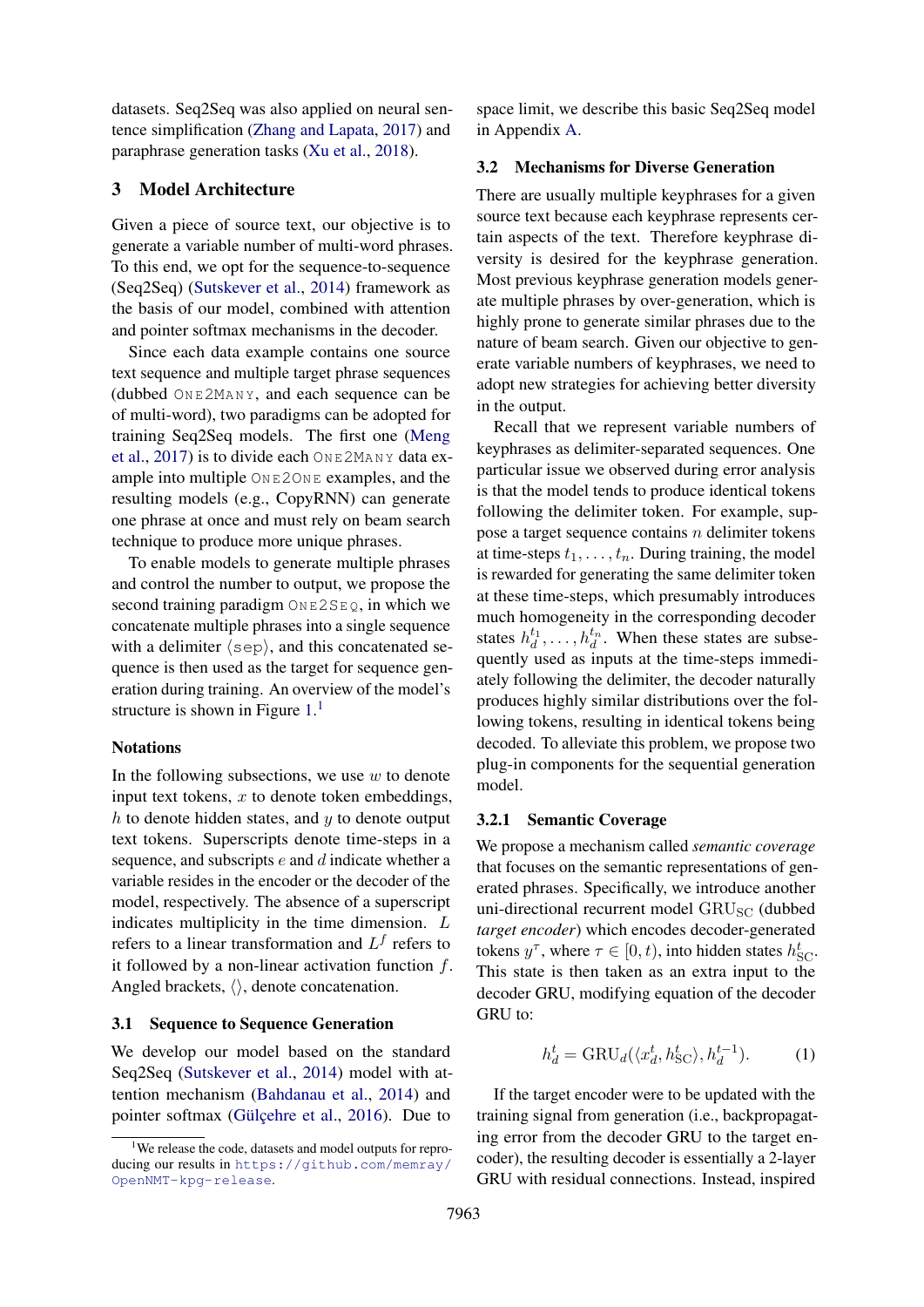datasets. Seq2Seq was also applied on neural sentence simplification [\(Zhang and Lapata,](#page-9-21) [2017\)](#page-9-21) and paraphrase generation tasks [\(Xu et al.,](#page-9-22) [2018\)](#page-9-22).

# <span id="page-2-1"></span>3 Model Architecture

Given a piece of source text, our objective is to generate a variable number of multi-word phrases. To this end, we opt for the sequence-to-sequence (Seq2Seq) [\(Sutskever et al.,](#page-9-17) [2014\)](#page-9-17) framework as the basis of our model, combined with attention and pointer softmax mechanisms in the decoder.

Since each data example contains one source text sequence and multiple target phrase sequences (dubbed ON E2MA N Y, and each sequence can be of multi-word), two paradigms can be adopted for training Seq2Seq models. The first one [\(Meng](#page-9-0) [et al.,](#page-9-0) [2017\)](#page-9-0) is to divide each  $\text{OnE2MANY}$  data example into multiple  $\textcircled{ONE2ONE}}$  examples, and the resulting models (e.g., CopyRNN) can generate one phrase at once and must rely on beam search technique to produce more unique phrases.

To enable models to generate multiple phrases and control the number to output, we propose the second training paradigm  $ONEZSEQ$ , in which we concatenate multiple phrases into a single sequence with a delimiter  $\langle$  sep), and this concatenated sequence is then used as the target for sequence generation during training. An overview of the model's structure is shown in Figure  $1<sup>1</sup>$  $1<sup>1</sup>$ 

#### Notations

In the following subsections, we use  $w$  to denote input text tokens,  $x$  to denote token embeddings,  $h$  to denote hidden states, and  $y$  to denote output text tokens. Superscripts denote time-steps in a sequence, and subscripts e and d indicate whether a variable resides in the encoder or the decoder of the model, respectively. The absence of a superscript indicates multiplicity in the time dimension. L refers to a linear transformation and  $L^f$  refers to it followed by a non-linear activation function  $f$ . Angled brackets,  $\langle \rangle$ , denote concatenation.

#### 3.1 Sequence to Sequence Generation

We develop our model based on the standard Seq2Seq [\(Sutskever et al.,](#page-9-17) [2014\)](#page-9-17) model with attention mechanism [\(Bahdanau et al.,](#page-8-5) [2014\)](#page-8-5) and pointer softmax (Gülçehre et al., [2016\)](#page-8-6). Due to

space limit, we describe this basic Seq2Seq model in Appendix [A.](#page-10-0)

#### 3.2 Mechanisms for Diverse Generation

There are usually multiple keyphrases for a given source text because each keyphrase represents certain aspects of the text. Therefore keyphrase diversity is desired for the keyphrase generation. Most previous keyphrase generation models generate multiple phrases by over-generation, which is highly prone to generate similar phrases due to the nature of beam search. Given our objective to generate variable numbers of keyphrases, we need to adopt new strategies for achieving better diversity in the output.

Recall that we represent variable numbers of keyphrases as delimiter-separated sequences. One particular issue we observed during error analysis is that the model tends to produce identical tokens following the delimiter token. For example, suppose a target sequence contains  $n$  delimiter tokens at time-steps  $t_1, \ldots, t_n$ . During training, the model is rewarded for generating the same delimiter token at these time-steps, which presumably introduces much homogeneity in the corresponding decoder states  $h_d^{t_1}, \ldots, h_d^{t_n}$ . When these states are subsequently used as inputs at the time-steps immediately following the delimiter, the decoder naturally produces highly similar distributions over the following tokens, resulting in identical tokens being decoded. To alleviate this problem, we propose two plug-in components for the sequential generation model.

#### 3.2.1 Semantic Coverage

We propose a mechanism called *semantic coverage* that focuses on the semantic representations of generated phrases. Specifically, we introduce another uni-directional recurrent model GRU<sub>SC</sub> (dubbed *target encoder*) which encodes decoder-generated tokens  $y^{\tau}$ , where  $\tau \in [0, t)$ , into hidden states  $h_{\text{SC}}^{t}$ . This state is then taken as an extra input to the decoder GRU, modifying equation of the decoder GRU to:

$$
h_d^t = \text{GRU}_d(\langle x_d^t, h_{\text{SC}}^t \rangle, h_d^{t-1}).\tag{1}
$$

If the target encoder were to be updated with the training signal from generation (i.e., backpropagating error from the decoder GRU to the target encoder), the resulting decoder is essentially a 2-layer GRU with residual connections. Instead, inspired

<span id="page-2-0"></span><sup>&</sup>lt;sup>1</sup>We release the code, datasets and model outputs for reproducing our results in [https://github.com/memray/](https://github.com/memray/OpenNMT-kpg-release) [OpenNMT-kpg-release](https://github.com/memray/OpenNMT-kpg-release).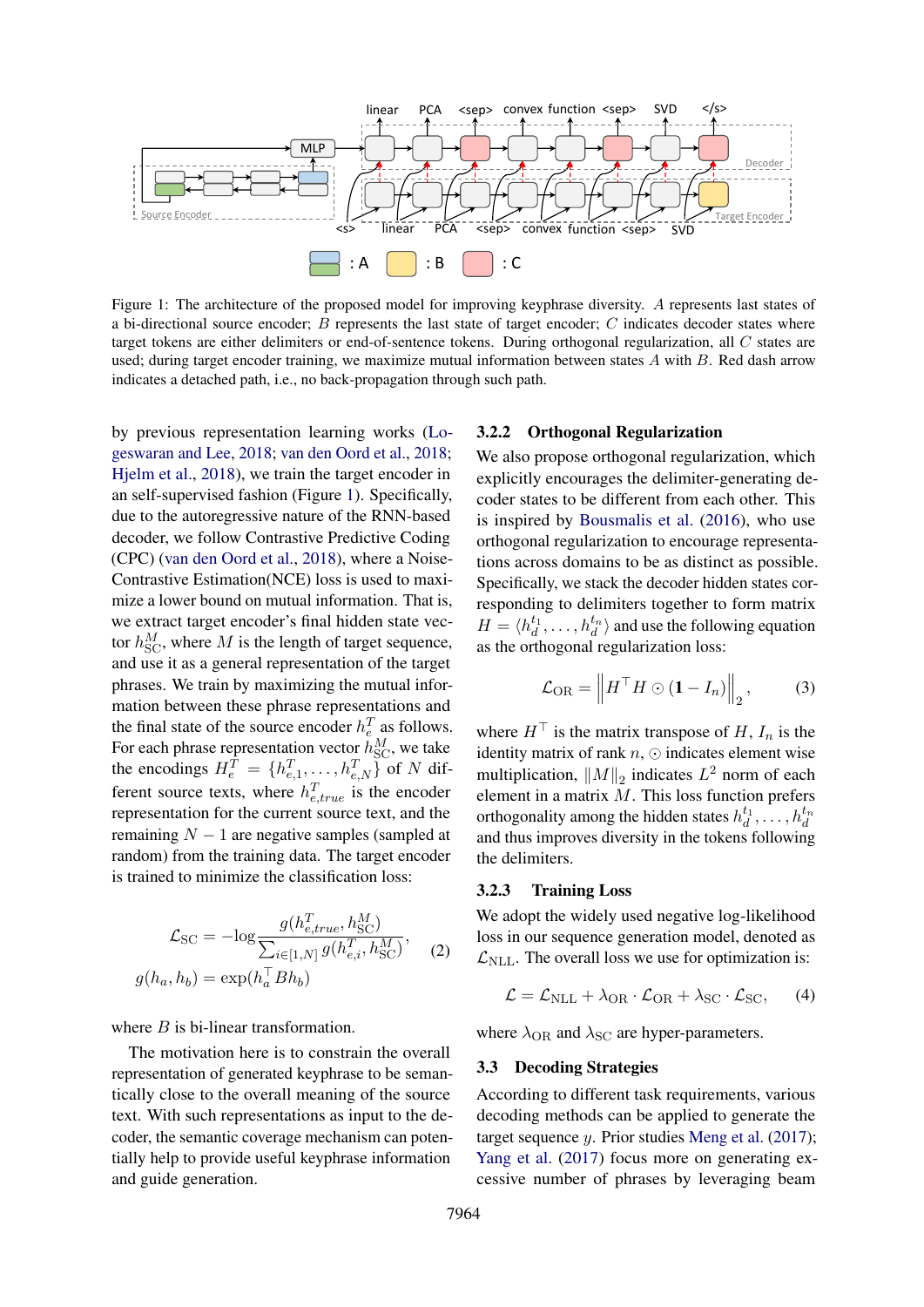<span id="page-3-0"></span>

Figure 1: The architecture of the proposed model for improving keyphrase diversity. A represents last states of a bi-directional source encoder;  $B$  represents the last state of target encoder;  $C$  indicates decoder states where target tokens are either delimiters or end-of-sentence tokens. During orthogonal regularization, all C states are used; during target encoder training, we maximize mutual information between states A with B. Red dash arrow indicates a detached path, i.e., no back-propagation through such path.

by previous representation learning works [\(Lo](#page-9-23)[geswaran and Lee,](#page-9-23) [2018;](#page-9-23) [van den Oord et al.,](#page-9-24) [2018;](#page-9-24) [Hjelm et al.,](#page-8-9) [2018\)](#page-8-9), we train the target encoder in an self-supervised fashion (Figure [1\)](#page-3-0). Specifically, due to the autoregressive nature of the RNN-based decoder, we follow Contrastive Predictive Coding (CPC) [\(van den Oord et al.,](#page-9-24) [2018\)](#page-9-24), where a Noise-Contrastive Estimation(NCE) loss is used to maximize a lower bound on mutual information. That is, we extract target encoder's final hidden state vector  $h_{\text{SC}}^M$ , where M is the length of target sequence, and use it as a general representation of the target phrases. We train by maximizing the mutual information between these phrase representations and the final state of the source encoder  $h_e^T$  as follows. For each phrase representation vector  $h_{\rm SC}^M$ , we take the encodings  $H_e^T = \{h_{e,1}^T, \dots, h_{e,N}^T\}$  of N different source texts, where  $h_{e,true}^T$  is the encoder representation for the current source text, and the remaining  $N - 1$  are negative samples (sampled at random) from the training data. The target encoder is trained to minimize the classification loss:

$$
\mathcal{L}_{SC} = -\log \frac{g(h_{e,true}^T, h_{SC}^M)}{\sum_{i \in [1, N]} g(h_{e,i}^T, h_{SC}^M)},
$$
  

$$
g(h_a, h_b) = \exp(h_a^T B h_b)
$$
 (2)

where  $B$  is bi-linear transformation.

The motivation here is to constrain the overall representation of generated keyphrase to be semantically close to the overall meaning of the source text. With such representations as input to the decoder, the semantic coverage mechanism can potentially help to provide useful keyphrase information and guide generation.

### 3.2.2 Orthogonal Regularization

We also propose orthogonal regularization, which explicitly encourages the delimiter-generating decoder states to be different from each other. This is inspired by [Bousmalis et al.](#page-8-10) [\(2016\)](#page-8-10), who use orthogonal regularization to encourage representations across domains to be as distinct as possible. Specifically, we stack the decoder hidden states corresponding to delimiters together to form matrix  $H = \langle h_d^{t_1}, \dots, h_d^{t_n} \rangle$  and use the following equation as the orthogonal regularization loss:

$$
\mathcal{L}_{\text{OR}} = \left\| H^{\top} H \odot (\mathbf{1} - I_n) \right\|_2, \quad (3)
$$

where  $H^{\top}$  is the matrix transpose of H,  $I_n$  is the identity matrix of rank  $n$ ,  $\odot$  indicates element wise multiplication,  $||M||_2$  indicates  $L^2$  norm of each element in a matrix  $M$ . This loss function prefers orthogonality among the hidden states  $h_d^{t_1}, \ldots, h_d^{t_n}$ and thus improves diversity in the tokens following the delimiters.

#### <span id="page-3-2"></span>3.2.3 Training Loss

We adopt the widely used negative log-likelihood loss in our sequence generation model, denoted as  $\mathcal{L}_{\text{NLL}}$ . The overall loss we use for optimization is:

<span id="page-3-3"></span>
$$
\mathcal{L} = \mathcal{L}_{\text{NLL}} + \lambda_{\text{OR}} \cdot \mathcal{L}_{\text{OR}} + \lambda_{\text{SC}} \cdot \mathcal{L}_{\text{SC}}, \qquad (4)
$$

where  $\lambda$ <sub>OR</sub> and  $\lambda$ <sub>SC</sub> are hyper-parameters.

### <span id="page-3-1"></span>3.3 Decoding Strategies

According to different task requirements, various decoding methods can be applied to generate the target sequence y. Prior studies [Meng et al.](#page-9-0) [\(2017\)](#page-9-0); [Yang et al.](#page-9-6) [\(2017\)](#page-9-6) focus more on generating excessive number of phrases by leveraging beam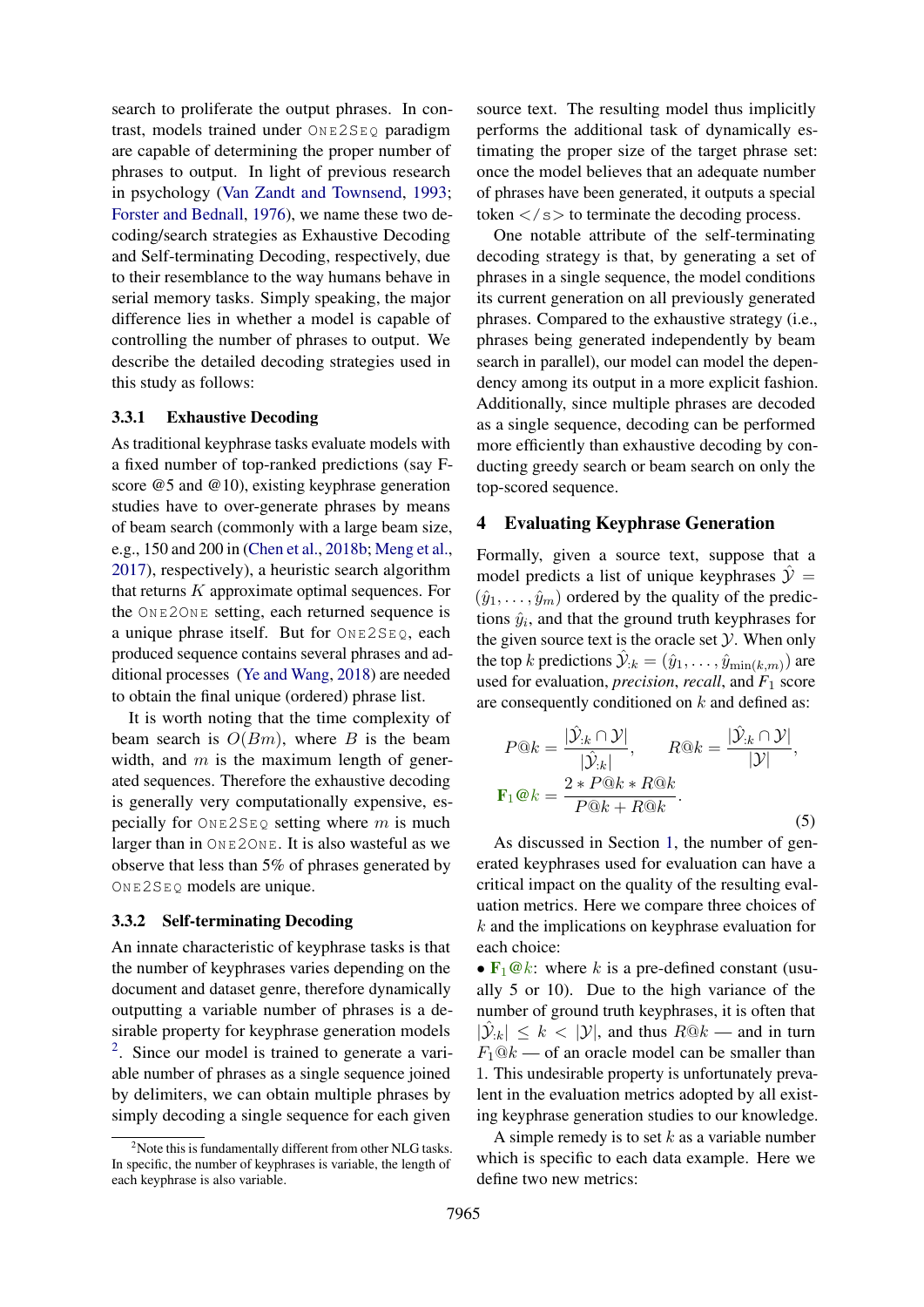search to proliferate the output phrases. In contrast, models trained under  $ONEZSEO$  paradigm are capable of determining the proper number of phrases to output. In light of previous research in psychology [\(Van Zandt and Townsend,](#page-9-25) [1993;](#page-9-25) [Forster and Bednall,](#page-8-11) [1976\)](#page-8-11), we name these two decoding/search strategies as Exhaustive Decoding and Self-terminating Decoding, respectively, due to their resemblance to the way humans behave in serial memory tasks. Simply speaking, the major difference lies in whether a model is capable of controlling the number of phrases to output. We describe the detailed decoding strategies used in this study as follows:

#### 3.3.1 Exhaustive Decoding

As traditional keyphrase tasks evaluate models with a fixed number of top-ranked predictions (say Fscore @5 and @10), existing keyphrase generation studies have to over-generate phrases by means of beam search (commonly with a large beam size, e.g., 150 and 200 in [\(Chen et al.,](#page-8-1) [2018b;](#page-8-1) [Meng et al.,](#page-9-0) [2017\)](#page-9-0), respectively), a heuristic search algorithm that returns  $K$  approximate optimal sequences. For the ON E2ON E setting, each returned sequence is a unique phrase itself. But for ONE2SEQ, each produced sequence contains several phrases and additional processes [\(Ye and Wang,](#page-9-1) [2018\)](#page-9-1) are needed to obtain the final unique (ordered) phrase list.

It is worth noting that the time complexity of beam search is  $O(Bm)$ , where B is the beam width, and  $m$  is the maximum length of generated sequences. Therefore the exhaustive decoding is generally very computationally expensive, especially for  $\text{On} E2SEQ$  setting where m is much larger than in  $ONE2ONE$ . It is also wasteful as we observe that less than 5% of phrases generated by  $ONE2SEQ$  models are unique.

#### 3.3.2 Self-terminating Decoding

An innate characteristic of keyphrase tasks is that the number of keyphrases varies depending on the document and dataset genre, therefore dynamically outputting a variable number of phrases is a desirable property for keyphrase generation models <sup>[2](#page-4-0)</sup>. Since our model is trained to generate a variable number of phrases as a single sequence joined by delimiters, we can obtain multiple phrases by simply decoding a single sequence for each given

source text. The resulting model thus implicitly performs the additional task of dynamically estimating the proper size of the target phrase set: once the model believes that an adequate number of phrases have been generated, it outputs a special token  $\langle$ /s $>$  to terminate the decoding process.

One notable attribute of the self-terminating decoding strategy is that, by generating a set of phrases in a single sequence, the model conditions its current generation on all previously generated phrases. Compared to the exhaustive strategy (i.e., phrases being generated independently by beam search in parallel), our model can model the dependency among its output in a more explicit fashion. Additionally, since multiple phrases are decoded as a single sequence, decoding can be performed more efficiently than exhaustive decoding by conducting greedy search or beam search on only the top-scored sequence.

#### <span id="page-4-1"></span>4 Evaluating Keyphrase Generation

Formally, given a source text, suppose that a model predicts a list of unique keyphrases  $\hat{y}$  =  $(\hat{y}_1, \ldots, \hat{y}_m)$  ordered by the quality of the predictions  $\hat{y}_i$ , and that the ground truth keyphrases for the given source text is the oracle set  $Y$ . When only the top k predictions  $\hat{y}_{:k} = (\hat{y}_1, \dots, \hat{y}_{\min(k,m)})$  are used for evaluation, *precision*, *recall*, and *F*<sup>1</sup> score are consequently conditioned on  $k$  and defined as:

$$
P@k = \frac{|\hat{\mathcal{Y}}_{:k} \cap \mathcal{Y}|}{|\hat{\mathcal{Y}}_{:k}|}, \qquad R@k = \frac{|\hat{\mathcal{Y}}_{:k} \cap \mathcal{Y}|}{|\mathcal{Y}|},
$$

$$
\mathbf{F}_1@k = \frac{2*P@k*R@k}{P@k+R@k}.
$$
(5)

As discussed in Section [1,](#page-0-1) the number of generated keyphrases used for evaluation can have a critical impact on the quality of the resulting evaluation metrics. Here we compare three choices of k and the implications on keyphrase evaluation for each choice:

•  $\mathbf{F}_1 \mathbf{\emptyset} k$ : where k is a pre-defined constant (usually 5 or 10). Due to the high variance of the number of ground truth keyphrases, it is often that  $|\hat{\mathcal{Y}}_{:k}| \leq k < |\mathcal{Y}|$ , and thus  $R@k$  — and in turn  $F_1@k$  — of an oracle model can be smaller than 1. This undesirable property is unfortunately prevalent in the evaluation metrics adopted by all existing keyphrase generation studies to our knowledge.

A simple remedy is to set  $k$  as a variable number which is specific to each data example. Here we define two new metrics:

<span id="page-4-0"></span><sup>&</sup>lt;sup>2</sup>Note this is fundamentally different from other NLG tasks. In specific, the number of keyphrases is variable, the length of each keyphrase is also variable.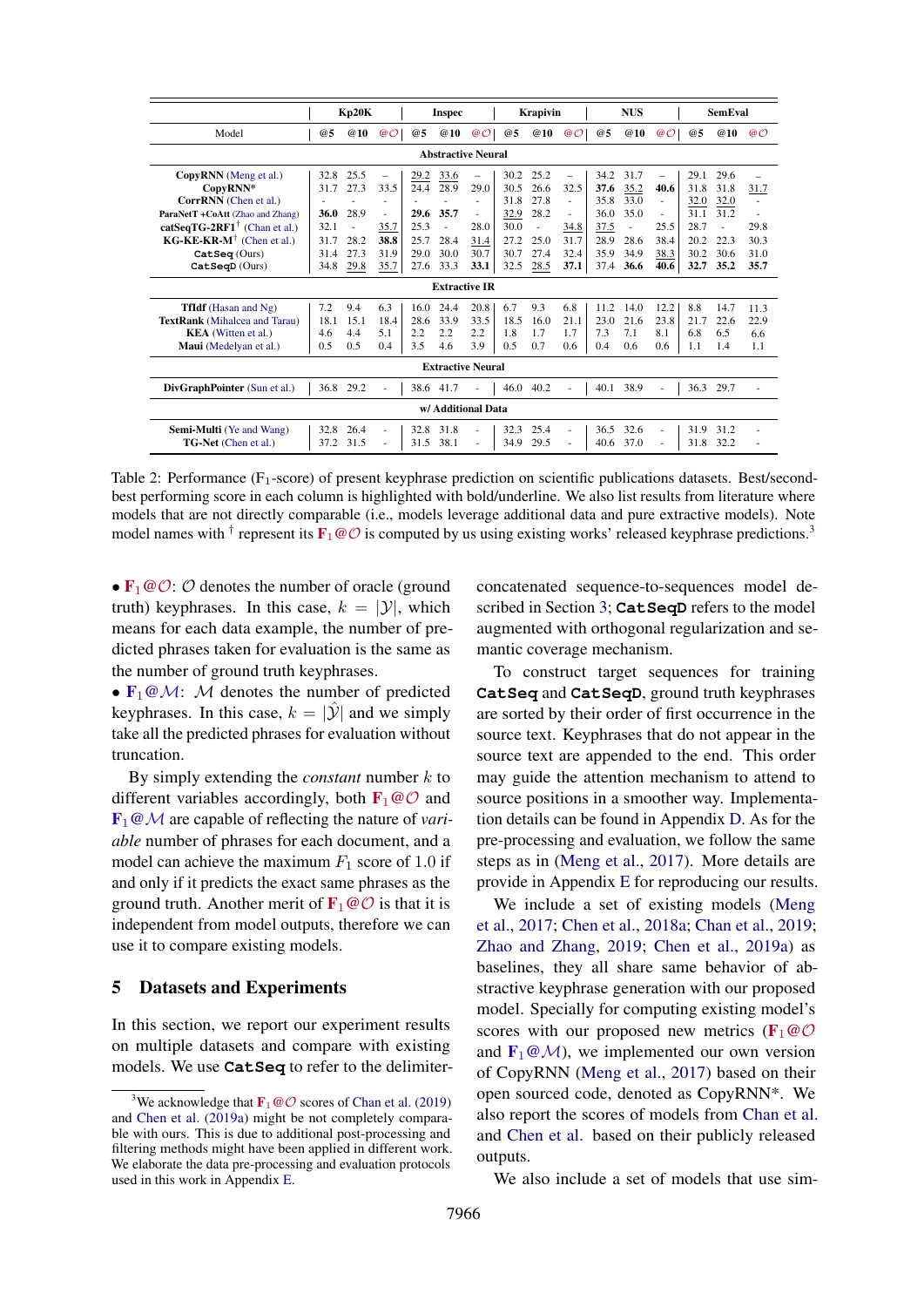<span id="page-5-1"></span>

|                                                             |      | Kp20K      |                          |      | <b>Inspec</b>             |                          |      | Krapivin   |          |      | <b>NUS</b> |          |      | <b>SemEval</b> |          |
|-------------------------------------------------------------|------|------------|--------------------------|------|---------------------------|--------------------------|------|------------|----------|------|------------|----------|------|----------------|----------|
| Model                                                       | @5   | <b>@10</b> | @O                       | @5   | <b>@10</b>                | @O                       | @5   | <b>@10</b> | @O       | @5   | <b>@10</b> | @O       | @5   | <b>@10</b>     | $\omega$ |
|                                                             |      |            |                          |      | <b>Abstractive Neural</b> |                          |      |            |          |      |            |          |      |                |          |
| CopyRNN (Meng et al.)                                       | 32.8 | 25.5       | $\overline{\phantom{0}}$ | 29.2 | 33.6                      | $\overline{\phantom{0}}$ | 30.2 | 25.2       | $\equiv$ | 34.2 | 31.7       | $\equiv$ | 29.1 | 29.6           |          |
| CopyRNN*                                                    | 31.7 | 27.3       | 33.5                     | 24.4 | 28.9                      | 29.0                     | 30.5 | 26.6       | 32.5     | 37.6 | 35.2       | 40.6     | 31.8 | 31.8           | 31.7     |
| CorrRNN (Chen et al.)                                       |      |            | ٠                        |      |                           | $\overline{\phantom{a}}$ | 31.8 | 27.8       | ÷        | 35.8 | 33.0       | $\sim$   | 32.0 | 32.0           |          |
| ParaNetT +CoAtt (Zhao and Zhang)                            | 36.0 | 28.9       | $\sim$                   | 29.6 | 35.7                      | $\sim$                   | 32.9 | 28.2       | ÷        | 36.0 | 35.0       | $\sim$   | 31.1 | 31.2           |          |
| catSeqTG-2RF1 <sup><math>\dagger</math></sup> (Chan et al.) | 32.1 |            | 35.7                     | 25.3 | ä,                        | 28.0                     | 30.0 | ä,         | 34.8     | 37.5 | $\sim$     | 25.5     | 28.7 | ä,             | 29.8     |
| $KG-KE-KR-M^{\dagger}$ (Chen et al.)                        | 31.7 | 28.2       | 38.8                     | 25.7 | 28.4                      | 31.4                     | 27.2 | 25.0       | 31.7     | 28.9 | 28.6       | 38.4     | 20.2 | 22.3           | 30.3     |
| $\text{Catseq}$ (Ours)                                      | 31.4 | 27.3       | 31.9                     | 29.0 | 30.0                      | 30.7                     | 30.7 | 27.4       | 32.4     | 35.9 | 34.9       | 38.3     | 30.2 | 30.6           | 31.0     |
| $CatSeqD$ (Ours)                                            | 34.8 | 29.8       | 35.7                     | 27.6 | 33.3                      | 33.1                     | 32.5 | 28.5       | 37.1     | 37.4 | 36.6       | 40.6     | 32.7 | 35.2           | 35.7     |
|                                                             |      |            |                          |      | <b>Extractive IR</b>      |                          |      |            |          |      |            |          |      |                |          |
| <b>TfIdf</b> (Hasan and Ng)                                 | 7.2  | 9.4        | 6.3                      | 16.0 | 24.4                      | 20.8                     | 6.7  | 9.3        | 6.8      | 11.2 | 14.0       | 12.2     | 8.8  | 14.7           | 11.3     |
| <b>TextRank</b> (Mihalcea and Tarau)                        | 18.1 | 15.1       | 18.4                     | 28.6 | 33.9                      | 33.5                     | 18.5 | 16.0       | 21.1     | 23.0 | 21.6       | 23.8     | 21.7 | 22.6           | 22.9     |
| <b>KEA</b> (Witten et al.)                                  | 4.6  | 4.4        | 5.1                      | 2.2  | 2.2                       | 2.2                      | 1.8  | 1.7        | 1.7      | 7.3  | 7.1        | 8.1      | 6.8  | 6.5            | 6.6      |
| Maui (Medelyan et al.)                                      | 0.5  | 0.5        | 0.4                      | 3.5  | 4.6                       | 3.9                      | 0.5  | 0.7        | 0.6      | 0.4  | 0.6        | 0.6      | 1.1  | 1.4            | 1.1      |
|                                                             |      |            |                          |      | <b>Extractive Neural</b>  |                          |      |            |          |      |            |          |      |                |          |
| DivGraphPointer (Sun et al.)                                |      | 36.8 29.2  |                          |      | 38.6 41.7                 |                          |      | 46.0 40.2  |          | 40.1 | 38.9       |          | 36.3 | 29.7           |          |
| w/ Additional Data                                          |      |            |                          |      |                           |                          |      |            |          |      |            |          |      |                |          |
| <b>Semi-Multi</b> (Ye and Wang)                             | 32.8 | 26.4       | $\sim$                   | 32.8 | 31.8                      |                          | 32.3 | 25.4       | ÷.       | 36.5 | 32.6       | $\sim$   | 31.9 | 31.2           |          |
| <b>TG-Net</b> (Chen et al.)                                 | 37.2 | 31.5       | $\sim$                   | 31.5 | 38.1                      |                          | 34.9 | 29.5       | ٠        | 40.6 | 37.0       |          | 31.8 | 32.2           |          |

Table 2: Performance  $(F_1$ -score) of present keyphrase prediction on scientific publications datasets. Best/secondbest performing score in each column is highlighted with bold/underline. We also list results from literature where models that are not directly comparable (i.e., models leverage additional data and pure extractive models). Note model names with <sup>†</sup> represent its  $F_1 \omega$  is computed by us using existing works' released keyphrase predictions.<sup>[3](#page-5-0)</sup>

•  $\mathbf{F}_1 \textcircled{O}$ :  $\mathcal{O}$  denotes the number of oracle (ground truth) keyphrases. In this case,  $k = |\mathcal{Y}|$ , which means for each data example, the number of predicted phrases taken for evaluation is the same as the number of ground truth keyphrases.

•  $\mathbf{F}_1 \otimes \mathcal{M}$ : M denotes the number of predicted keyphrases. In this case,  $k = |\mathcal{Y}|$  and we simply take all the predicted phrases for evaluation without truncation.

By simply extending the *constant* number k to different variables accordingly, both  $\mathbf{F}_1 \textcircled{c}$  and F1@M are capable of reflecting the nature of *variable* number of phrases for each document, and a model can achieve the maximum  $F_1$  score of 1.0 if and only if it predicts the exact same phrases as the ground truth. Another merit of  $\mathbf{F}_1 \text{ } \textcircled{c}$  is that it is independent from model outputs, therefore we can use it to compare existing models.

#### 5 Datasets and Experiments

In this section, we report our experiment results on multiple datasets and compare with existing models. We use **CatSeq** to refer to the delimiterconcatenated sequence-to-sequences model described in Section [3;](#page-2-1) **CatSeqD** refers to the model augmented with orthogonal regularization and semantic coverage mechanism.

To construct target sequences for training **CatSeq** and **CatSeqD**, ground truth keyphrases are sorted by their order of first occurrence in the source text. Keyphrases that do not appear in the source text are appended to the end. This order may guide the attention mechanism to attend to source positions in a smoother way. Implementation details can be found in Appendix [D.](#page-11-1) As for the pre-processing and evaluation, we follow the same steps as in [\(Meng et al.,](#page-9-0) [2017\)](#page-9-0). More details are provide in Appendix [E](#page-11-0) for reproducing our results.

We include a set of existing models [\(Meng](#page-9-0) [et al.,](#page-9-0) [2017;](#page-9-0) [Chen et al.,](#page-8-0) [2018a;](#page-8-0) [Chan et al.,](#page-8-3) [2019;](#page-8-3) [Zhao and Zhang,](#page-9-16) [2019;](#page-9-16) [Chen et al.,](#page-8-4) [2019a\)](#page-8-4) as baselines, they all share same behavior of abstractive keyphrase generation with our proposed model. Specially for computing existing model's scores with our proposed new metrics ( $\mathbf{F}_1 \textcircled{e} \mathcal{O}$ and  $\mathbf{F}_1 \textcircled{a} \mathcal{M}$ , we implemented our own version of CopyRNN [\(Meng et al.,](#page-9-0) [2017\)](#page-9-0) based on their open sourced code, denoted as CopyRNN\*. We also report the scores of models from [Chan et al.](#page-8-3) and [Chen et al.](#page-8-4) based on their publicly released outputs.

We also include a set of models that use sim-

<span id="page-5-0"></span><sup>&</sup>lt;sup>3</sup>We acknowledge that  $\mathbf{F}_1 \textcircled{c} \mathcal{O}$  scores of [Chan et al.](#page-8-3) [\(2019\)](#page-8-3) and [Chen et al.](#page-8-4) [\(2019a\)](#page-8-4) might be not completely comparable with ours. This is due to additional post-processing and filtering methods might have been applied in different work. We elaborate the data pre-processing and evaluation protocols used in this work in Appendix [E.](#page-11-0)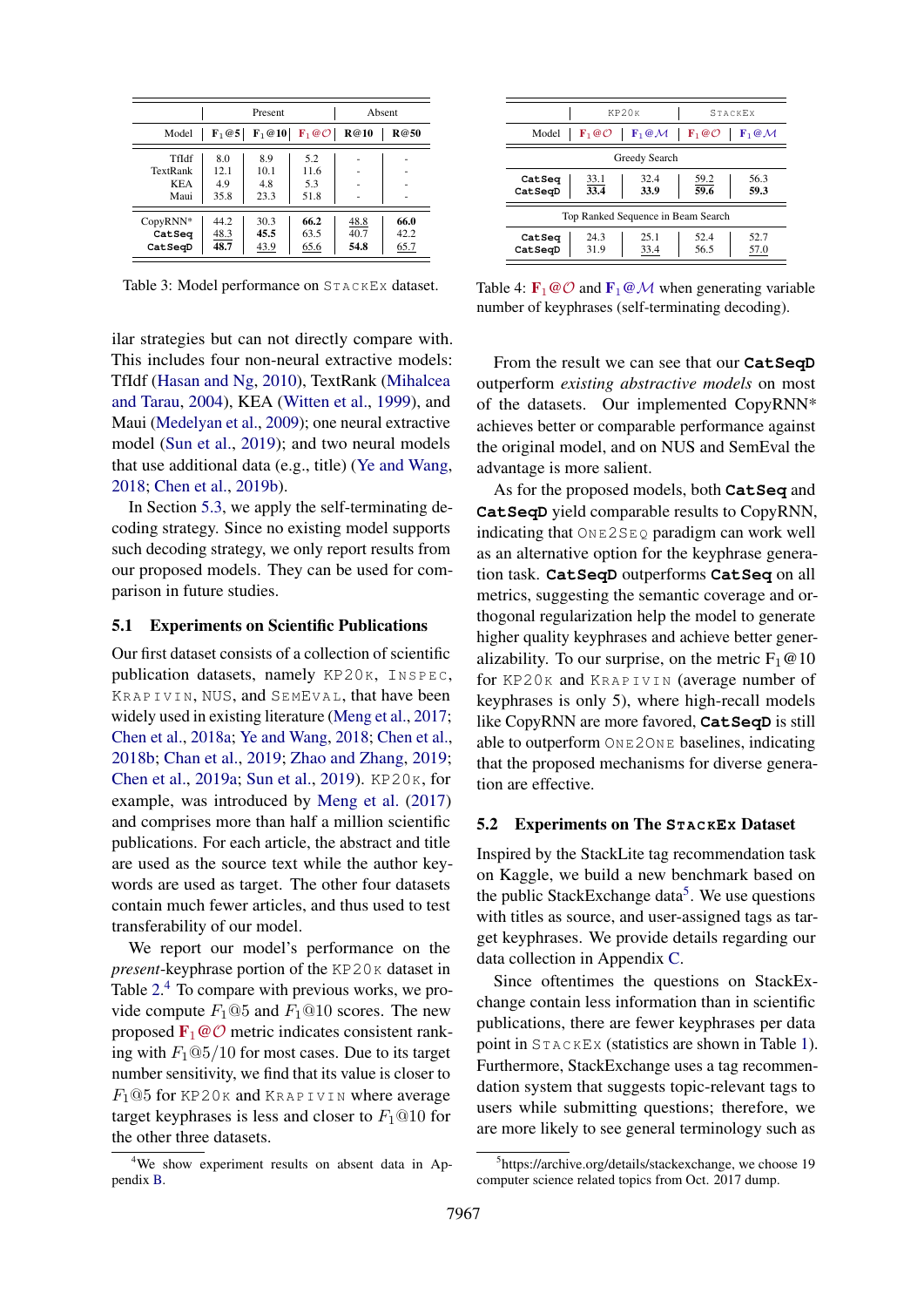<span id="page-6-2"></span>

|                                         |                            | Present                            |                                    | Absent               |                      |
|-----------------------------------------|----------------------------|------------------------------------|------------------------------------|----------------------|----------------------|
| Model                                   | $\mathbf{F}_1@5$           | $\mathbf{F}_1 \otimes \mathbf{10}$ | $\mathbf{F}_1 \otimes \mathcal{O}$ | <b>R</b> @10         | R@50                 |
| TfIdf<br>TextRank<br><b>KEA</b><br>Maui | 8.0<br>12.1<br>4.9<br>35.8 | 8.9<br>10.1<br>4.8<br>23.3         | 5.2<br>11.6<br>5.3<br>51.8         |                      |                      |
| CopyRNN*<br>CatSeq<br>CatSeqD           | 44.2<br>48.3<br>48.7       | 30.3<br>45.5<br>43.9               | 66.2<br>63.5<br>65.6               | 48.8<br>40.7<br>54.8 | 66.0<br>42.2<br>65.7 |

Table 3: Model performance on STACKEX dataset.

ilar strategies but can not directly compare with. This includes four non-neural extractive models: TfIdf [\(Hasan and Ng,](#page-8-12) [2010\)](#page-8-12), TextRank [\(Mihalcea](#page-9-9) [and Tarau,](#page-9-9) [2004\)](#page-9-9), KEA [\(Witten et al.,](#page-9-3) [1999\)](#page-9-3), and Maui [\(Medelyan et al.,](#page-9-7) [2009\)](#page-9-7); one neural extractive model [\(Sun et al.,](#page-9-15) [2019\)](#page-9-15); and two neural models that use additional data (e.g., title) [\(Ye and Wang,](#page-9-1) [2018;](#page-9-1) [Chen et al.,](#page-8-13) [2019b\)](#page-8-13).

In Section [5.3,](#page-7-0) we apply the self-terminating decoding strategy. Since no existing model supports such decoding strategy, we only report results from our proposed models. They can be used for comparison in future studies.

#### <span id="page-6-4"></span>5.1 Experiments on Scientific Publications

Our first dataset consists of a collection of scientific publication datasets, namely  $KP20K$ ,  $INSPEC$ , KRAPIVIN, NUS, and SEMEVAL, that have been widely used in existing literature [\(Meng et al.,](#page-9-0) [2017;](#page-9-0) [Chen et al.,](#page-8-0) [2018a;](#page-8-0) [Ye and Wang,](#page-9-1) [2018;](#page-9-1) [Chen et al.,](#page-8-1) [2018b;](#page-8-1) [Chan et al.,](#page-8-3) [2019;](#page-8-3) [Zhao and Zhang,](#page-9-16) [2019;](#page-9-16) [Chen et al.,](#page-8-4) [2019a;](#page-8-4) [Sun et al.,](#page-9-15) [2019\)](#page-9-15). KP20K, for example, was introduced by [Meng et al.](#page-9-0) [\(2017\)](#page-9-0) and comprises more than half a million scientific publications. For each article, the abstract and title are used as the source text while the author keywords are used as target. The other four datasets contain much fewer articles, and thus used to test transferability of our model.

We report our model's performance on the *present*-keyphrase portion of the KP20K dataset in Table [2.](#page-5-1)<sup>[4](#page-6-0)</sup> To compare with previous works, we provide compute  $F_1@5$  and  $F_1@10$  scores. The new proposed  $\mathbf{F}_1 \textcircled{O}$  metric indicates consistent ranking with  $F_1@5/10$  for most cases. Due to its target number sensitivity, we find that its value is closer to  $F_1@5$  for KP20K and KRAPIVIN where average target keyphrases is less and closer to  $F_1@10$  for the other three datasets.

<span id="page-6-3"></span>

|                                    | KP20 <sub>K</sub>            |                                    | <b>STACKEX</b>               |                              |  |  |  |
|------------------------------------|------------------------------|------------------------------------|------------------------------|------------------------------|--|--|--|
| Model                              | $\mathbf{F}_1 @ \mathcal{O}$ | $\mathbf{F}_1 \, @ \, \mathcal{M}$ | $\mathbf{F}_1 @ \mathcal{O}$ | $\mathbf{F}_1 @ \mathcal{M}$ |  |  |  |
| Greedy Search                      |                              |                                    |                              |                              |  |  |  |
| CatSeq<br>CatSeqD                  | 33.1<br>33.4                 | 32.4<br>33.9                       | 59.2<br>59.6                 | 56.3<br>59.3                 |  |  |  |
| Top Ranked Sequence in Beam Search |                              |                                    |                              |                              |  |  |  |
| CatSeq<br>CatSeqD                  | 24.3<br>31.9                 | 25.1<br>33.4                       | 52.4<br>56.5                 | 52.7<br>57.0                 |  |  |  |

Table 4:  $\mathbf{F}_1 \otimes \mathcal{O}$  and  $\mathbf{F}_1 \otimes \mathcal{M}$  when generating variable number of keyphrases (self-terminating decoding).

From the result we can see that our **CatSeqD** outperform *existing abstractive models* on most of the datasets. Our implemented CopyRNN\* achieves better or comparable performance against the original model, and on NUS and SemEval the advantage is more salient.

As for the proposed models, both **CatSeq** and **CatSeqD** yield comparable results to CopyRNN, indicating that  $\text{OnE2SEQ}$  paradigm can work well as an alternative option for the keyphrase generation task. **CatSeqD** outperforms **CatSeq** on all metrics, suggesting the semantic coverage and orthogonal regularization help the model to generate higher quality keyphrases and achieve better generalizability. To our surprise, on the metric  $F_1@10$ for KP20K and KRAPIVIN (average number of keyphrases is only 5), where high-recall models like CopyRNN are more favored, **CatSeqD** is still able to outperform ONE2ONE baselines, indicating that the proposed mechanisms for diverse generation are effective.

# 5.2 Experiments on The **ST A C KEX** Dataset

Inspired by the StackLite tag recommendation task on Kaggle, we build a new benchmark based on the public StackExchange data<sup>[5](#page-6-1)</sup>. We use questions with titles as source, and user-assigned tags as target keyphrases. We provide details regarding our data collection in Appendix [C.](#page-11-2)

Since oftentimes the questions on StackExchange contain less information than in scientific publications, there are fewer keyphrases per data point in ST A C KEX (statistics are shown in Table [1\)](#page-0-0). Furthermore, StackExchange uses a tag recommendation system that suggests topic-relevant tags to users while submitting questions; therefore, we are more likely to see general terminology such as

<span id="page-6-0"></span><sup>&</sup>lt;sup>4</sup>We show experiment results on absent data in Appendix [B.](#page-10-1)

<span id="page-6-1"></span><sup>&</sup>lt;sup>5</sup>https://archive.org/details/stackexchange, we choose 19 computer science related topics from Oct. 2017 dump.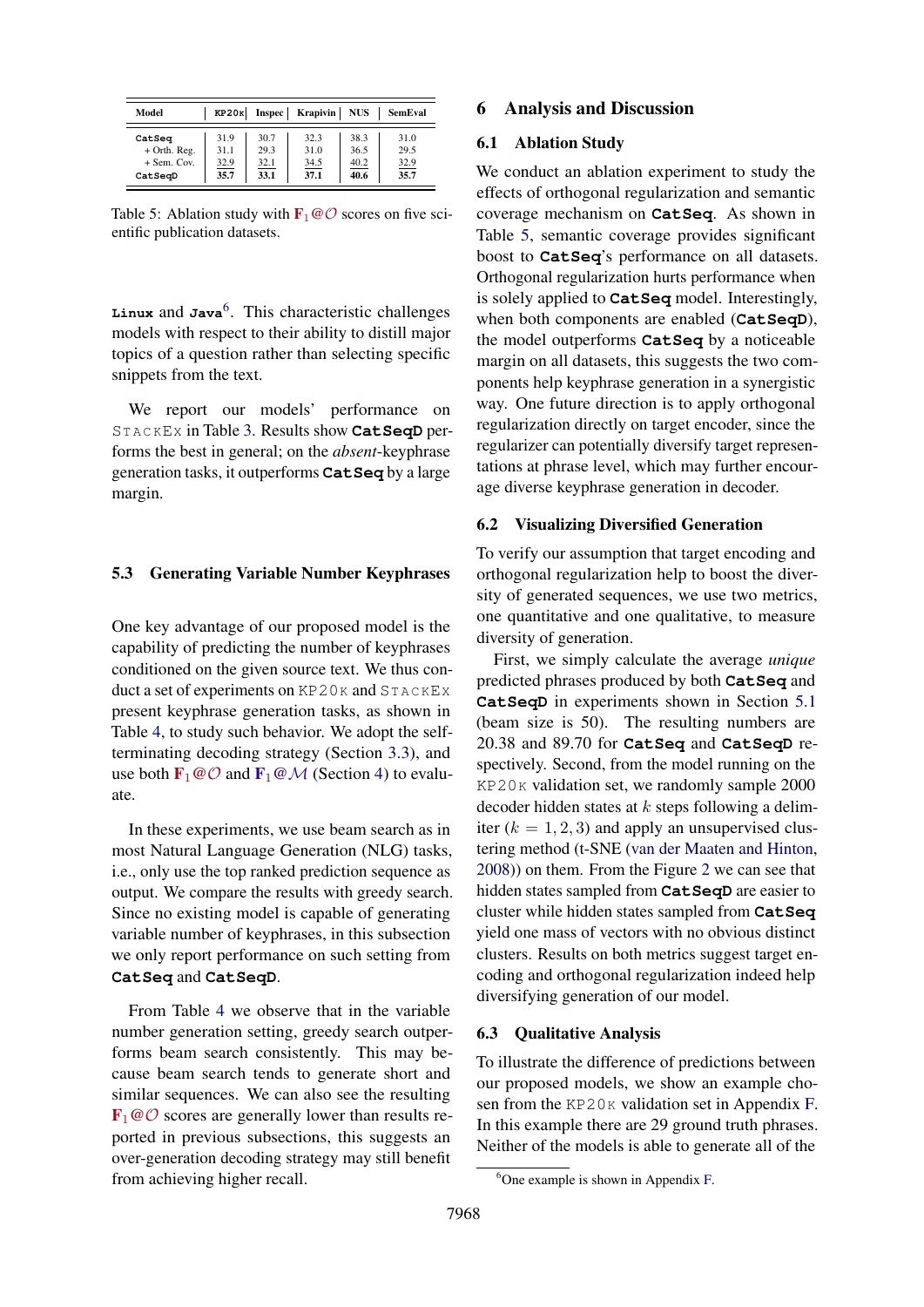<span id="page-7-2"></span>

| Model          |      |      | $KP20K$ Inspec Krapivin NUS |      | SemEval |
|----------------|------|------|-----------------------------|------|---------|
| CatSeq         | 31.9 | 30.7 | 32.3                        | 38.3 | 31.0    |
| $+$ Orth. Reg. | 31.1 | 29.3 | 31.0                        | 36.5 | 29.5    |
| $+$ Sem. Cov.  | 32.9 | 32.1 | 34.5                        | 40.2 | 32.9    |
| CatSeqD        | 35.7 | 33.1 | 37.1                        | 40.6 | 35.7    |

Table 5: Ablation study with  $\mathbf{F}_1 \omega \mathcal{O}$  scores on five scientific publication datasets.

Linux and Java<sup>[6](#page-7-1)</sup>. This characteristic challenges models with respect to their ability to distill major topics of a question rather than selecting specific snippets from the text.

We report our models' performance on ST A C KEX in Table [3.](#page-6-2) Results show **CatSeqD** performs the best in general; on the *absent*-keyphrase generation tasks, it outperforms **CatSeq** by a large margin.

#### <span id="page-7-0"></span>5.3 Generating Variable Number Keyphrases

One key advantage of our proposed model is the capability of predicting the number of keyphrases conditioned on the given source text. We thus conduct a set of experiments on  $KP20K$  and  $STACKEX$ present keyphrase generation tasks, as shown in Table [4,](#page-6-3) to study such behavior. We adopt the selfterminating decoding strategy (Section [3.3\)](#page-3-1), and use both  $\mathbf{F}_1 \textcircled{O}$  and  $\mathbf{F}_1 \textcircled{O} \mathcal{M}$  (Section [4\)](#page-4-1) to evaluate.

In these experiments, we use beam search as in most Natural Language Generation (NLG) tasks, i.e., only use the top ranked prediction sequence as output. We compare the results with greedy search. Since no existing model is capable of generating variable number of keyphrases, in this subsection we only report performance on such setting from **CatSeq** and **CatSeqD**.

From Table [4](#page-6-3) we observe that in the variable number generation setting, greedy search outperforms beam search consistently. This may because beam search tends to generate short and similar sequences. We can also see the resulting  $\mathbf{F}_1 \textcircled{c} \mathcal{O}$  scores are generally lower than results reported in previous subsections, this suggests an over-generation decoding strategy may still benefit from achieving higher recall.

## 6 Analysis and Discussion

# 6.1 Ablation Study

We conduct an ablation experiment to study the effects of orthogonal regularization and semantic coverage mechanism on **CatSeq**. As shown in Table [5,](#page-7-2) semantic coverage provides significant boost to **CatSeq**'s performance on all datasets. Orthogonal regularization hurts performance when is solely applied to **CatSeq** model. Interestingly, when both components are enabled (**CatSeqD**), the model outperforms **CatSeq** by a noticeable margin on all datasets, this suggests the two components help keyphrase generation in a synergistic way. One future direction is to apply orthogonal regularization directly on target encoder, since the regularizer can potentially diversify target representations at phrase level, which may further encourage diverse keyphrase generation in decoder.

### <span id="page-7-3"></span>6.2 Visualizing Diversified Generation

To verify our assumption that target encoding and orthogonal regularization help to boost the diversity of generated sequences, we use two metrics, one quantitative and one qualitative, to measure diversity of generation.

First, we simply calculate the average *unique* predicted phrases produced by both **CatSeq** and **CatSeqD** in experiments shown in Section [5.1](#page-6-4) (beam size is 50). The resulting numbers are 20.38 and 89.70 for **CatSeq** and **CatSeqD** respectively. Second, from the model running on the KP20K validation set, we randomly sample 2000 decoder hidden states at  $k$  steps following a delimiter  $(k = 1, 2, 3)$  and apply an unsupervised clustering method (t-SNE [\(van der Maaten and Hinton,](#page-9-26) [2008\)](#page-9-26)) on them. From the Figure [2](#page-8-14) we can see that hidden states sampled from **CatSeqD** are easier to cluster while hidden states sampled from **CatSeq** yield one mass of vectors with no obvious distinct clusters. Results on both metrics suggest target encoding and orthogonal regularization indeed help diversifying generation of our model.

# 6.3 Qualitative Analysis

To illustrate the difference of predictions between our proposed models, we show an example cho-sen from the KP20K validation set in Appendix [F.](#page-12-0) In this example there are 29 ground truth phrases. Neither of the models is able to generate all of the

<span id="page-7-1"></span><sup>&</sup>lt;sup>6</sup>One example is shown in Appendix [F.](#page-12-0)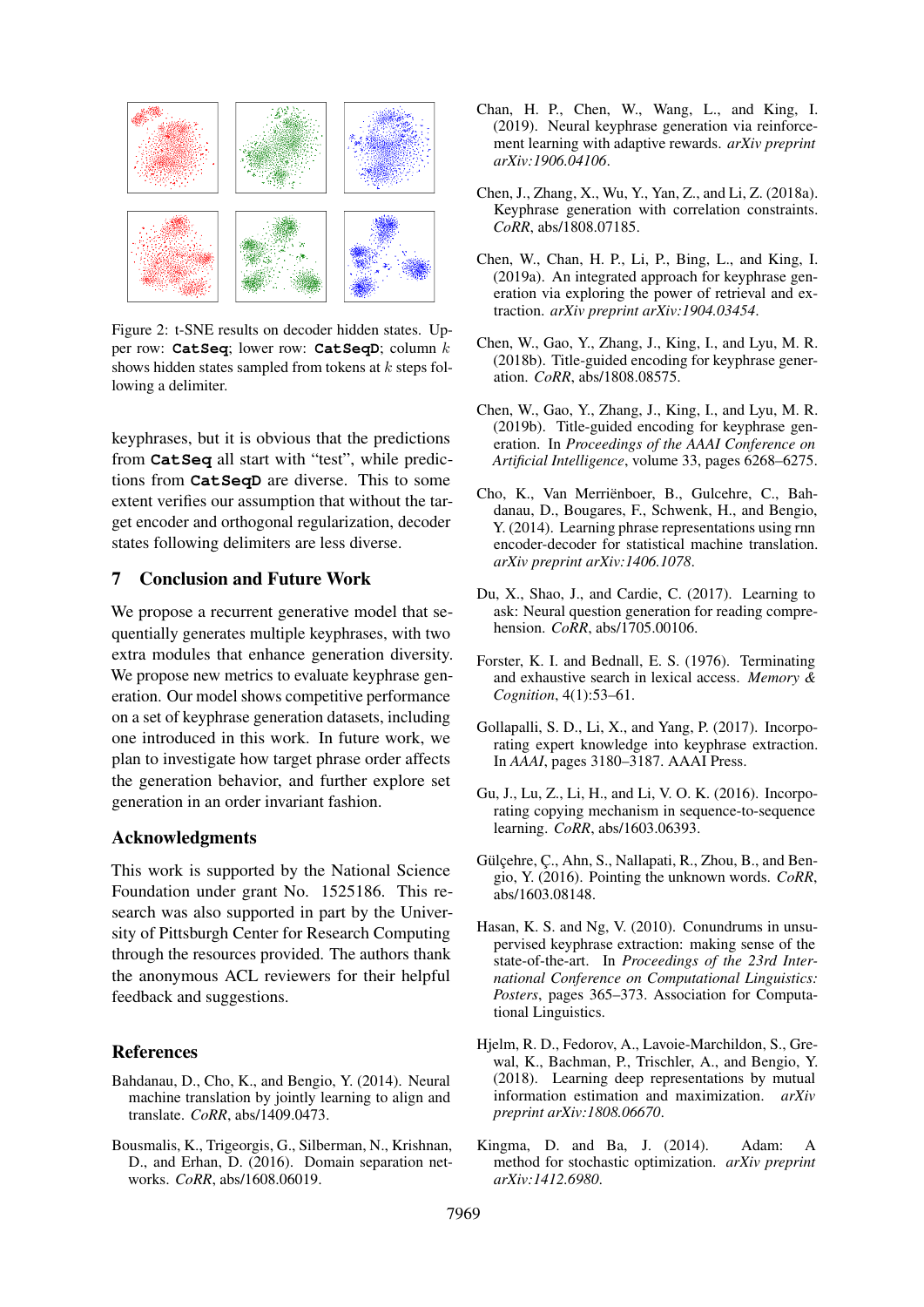<span id="page-8-14"></span>

Figure 2: t-SNE results on decoder hidden states. Upper row: **CatSeq**; lower row: **CatSeqD**; column k shows hidden states sampled from tokens at  $k$  steps following a delimiter.

keyphrases, but it is obvious that the predictions from **CatSeq** all start with "test", while predictions from **CatSeqD** are diverse. This to some extent verifies our assumption that without the target encoder and orthogonal regularization, decoder states following delimiters are less diverse.

### 7 Conclusion and Future Work

We propose a recurrent generative model that sequentially generates multiple keyphrases, with two extra modules that enhance generation diversity. We propose new metrics to evaluate keyphrase generation. Our model shows competitive performance on a set of keyphrase generation datasets, including one introduced in this work. In future work, we plan to investigate how target phrase order affects the generation behavior, and further explore set generation in an order invariant fashion.

### Acknowledgments

This work is supported by the National Science Foundation under grant No. 1525186. This research was also supported in part by the University of Pittsburgh Center for Research Computing through the resources provided. The authors thank the anonymous ACL reviewers for their helpful feedback and suggestions.

### References

- <span id="page-8-5"></span>Bahdanau, D., Cho, K., and Bengio, Y. (2014). Neural machine translation by jointly learning to align and translate. *CoRR*, abs/1409.0473.
- <span id="page-8-10"></span>Bousmalis, K., Trigeorgis, G., Silberman, N., Krishnan, D., and Erhan, D. (2016). Domain separation networks. *CoRR*, abs/1608.06019.
- <span id="page-8-3"></span>Chan, H. P., Chen, W., Wang, L., and King, I. (2019). Neural keyphrase generation via reinforcement learning with adaptive rewards. *arXiv preprint arXiv:1906.04106*.
- <span id="page-8-0"></span>Chen, J., Zhang, X., Wu, Y., Yan, Z., and Li, Z. (2018a). Keyphrase generation with correlation constraints. *CoRR*, abs/1808.07185.
- <span id="page-8-4"></span>Chen, W., Chan, H. P., Li, P., Bing, L., and King, I. (2019a). An integrated approach for keyphrase generation via exploring the power of retrieval and extraction. *arXiv preprint arXiv:1904.03454*.
- <span id="page-8-1"></span>Chen, W., Gao, Y., Zhang, J., King, I., and Lyu, M. R. (2018b). Title-guided encoding for keyphrase generation. *CoRR*, abs/1808.08575.
- <span id="page-8-13"></span>Chen, W., Gao, Y., Zhang, J., King, I., and Lyu, M. R. (2019b). Title-guided encoding for keyphrase generation. In *Proceedings of the AAAI Conference on Artificial Intelligence*, volume 33, pages 6268–6275.
- <span id="page-8-15"></span>Cho, K., Van Merrienboer, B., Gulcehre, C., Bah- ¨ danau, D., Bougares, F., Schwenk, H., and Bengio, Y. (2014). Learning phrase representations using rnn encoder-decoder for statistical machine translation. *arXiv preprint arXiv:1406.1078*.
- <span id="page-8-8"></span>Du, X., Shao, J., and Cardie, C. (2017). Learning to ask: Neural question generation for reading comprehension. *CoRR*, abs/1705.00106.
- <span id="page-8-11"></span>Forster, K. I. and Bednall, E. S. (1976). Terminating and exhaustive search in lexical access. *Memory & Cognition*, 4(1):53–61.
- <span id="page-8-2"></span>Gollapalli, S. D., Li, X., and Yang, P. (2017). Incorporating expert knowledge into keyphrase extraction. In *AAAI*, pages 3180–3187. AAAI Press.
- <span id="page-8-7"></span>Gu, J., Lu, Z., Li, H., and Li, V. O. K. (2016). Incorporating copying mechanism in sequence-to-sequence learning. *CoRR*, abs/1603.06393.
- <span id="page-8-6"></span>Gülçehre, Ç., Ahn, S., Nallapati, R., Zhou, B., and Bengio, Y. (2016). Pointing the unknown words. *CoRR*, abs/1603.08148.
- <span id="page-8-12"></span>Hasan, K. S. and Ng, V. (2010). Conundrums in unsupervised keyphrase extraction: making sense of the state-of-the-art. In *Proceedings of the 23rd International Conference on Computational Linguistics: Posters*, pages 365–373. Association for Computational Linguistics.
- <span id="page-8-9"></span>Hjelm, R. D., Fedorov, A., Lavoie-Marchildon, S., Grewal, K., Bachman, P., Trischler, A., and Bengio, Y. (2018). Learning deep representations by mutual information estimation and maximization. *arXiv preprint arXiv:1808.06670*.
- <span id="page-8-16"></span>Kingma, D. and Ba, J. (2014). Adam: A method for stochastic optimization. *arXiv preprint arXiv:1412.6980*.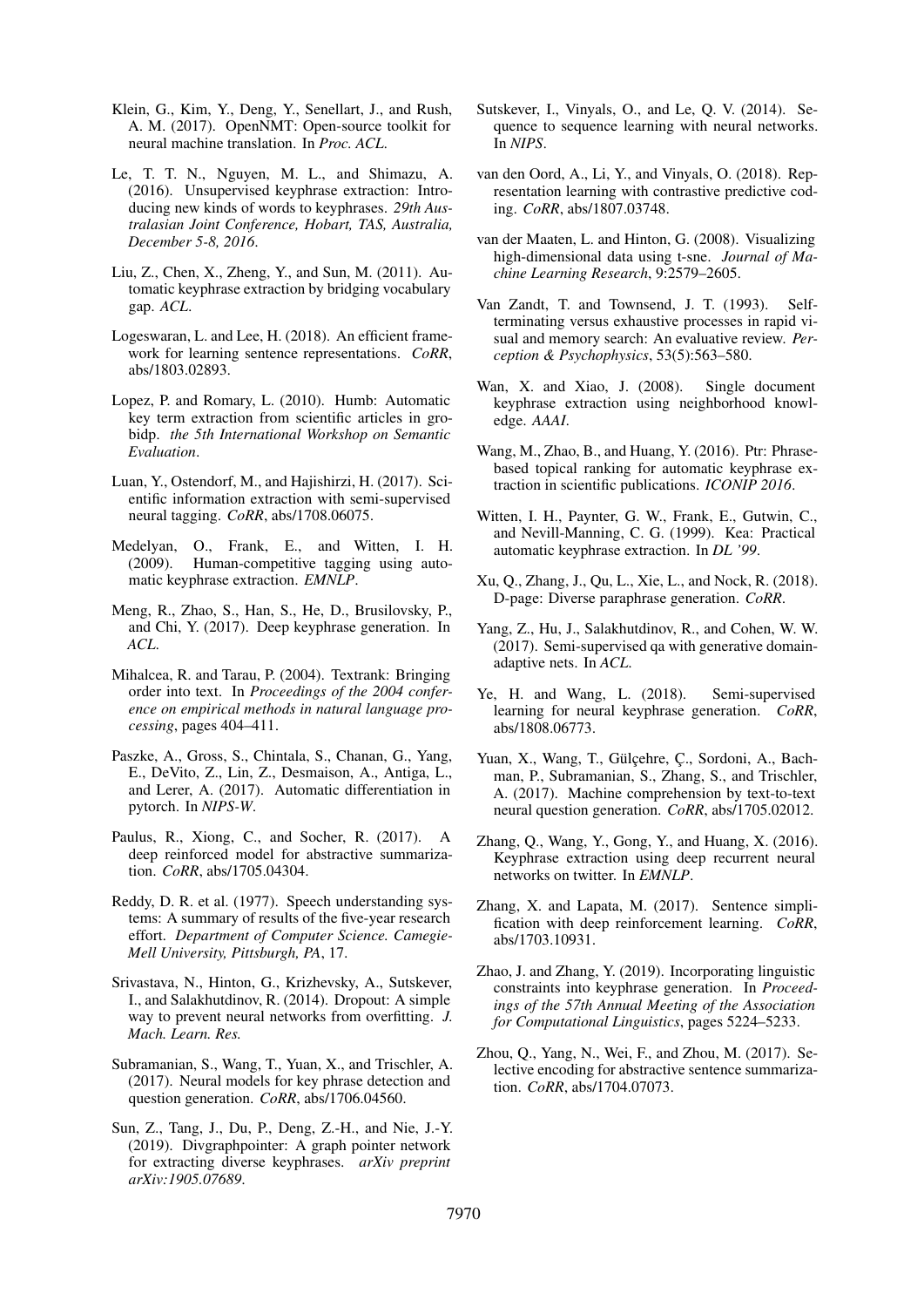- <span id="page-9-29"></span>Klein, G., Kim, Y., Deng, Y., Senellart, J., and Rush, A. M. (2017). OpenNMT: Open-source toolkit for neural machine translation. In *Proc. ACL*.
- <span id="page-9-10"></span>Le, T. T. N., Nguyen, M. L., and Shimazu, A. (2016). Unsupervised keyphrase extraction: Introducing new kinds of words to keyphrases. *29th Australasian Joint Conference, Hobart, TAS, Australia, December 5-8, 2016*.
- <span id="page-9-4"></span>Liu, Z., Chen, X., Zheng, Y., and Sun, M. (2011). Automatic keyphrase extraction by bridging vocabulary gap. *ACL*.
- <span id="page-9-23"></span>Logeswaran, L. and Lee, H. (2018). An efficient framework for learning sentence representations. *CoRR*, abs/1803.02893.
- <span id="page-9-8"></span>Lopez, P. and Romary, L. (2010). Humb: Automatic key term extraction from scientific articles in grobidp. *the 5th International Workshop on Semantic Evaluation*.
- <span id="page-9-13"></span>Luan, Y., Ostendorf, M., and Hajishirzi, H. (2017). Scientific information extraction with semi-supervised neural tagging. *CoRR*, abs/1708.06075.
- <span id="page-9-7"></span>Medelyan, O., Frank, E., and Witten, I. H. (2009). Human-competitive tagging using automatic keyphrase extraction. *EMNLP*.
- <span id="page-9-0"></span>Meng, R., Zhao, S., Han, S., He, D., Brusilovsky, P., and Chi, Y. (2017). Deep keyphrase generation. In *ACL*.
- <span id="page-9-9"></span>Mihalcea, R. and Tarau, P. (2004). Textrank: Bringing order into text. In *Proceedings of the 2004 conference on empirical methods in natural language processing*, pages 404–411.
- <span id="page-9-28"></span>Paszke, A., Gross, S., Chintala, S., Chanan, G., Yang, E., DeVito, Z., Lin, Z., Desmaison, A., Antiga, L., and Lerer, A. (2017). Automatic differentiation in pytorch. In *NIPS-W*.
- <span id="page-9-18"></span>Paulus, R., Xiong, C., and Socher, R. (2017). A deep reinforced model for abstractive summarization. *CoRR*, abs/1705.04304.
- <span id="page-9-2"></span>Reddy, D. R. et al. (1977). Speech understanding systems: A summary of results of the five-year research effort. *Department of Computer Science. Camegie-Mell University, Pittsburgh, PA*, 17.
- <span id="page-9-27"></span>Srivastava, N., Hinton, G., Krizhevsky, A., Sutskever, I., and Salakhutdinov, R. (2014). Dropout: A simple way to prevent neural networks from overfitting. *J. Mach. Learn. Res.*
- <span id="page-9-14"></span>Subramanian, S., Wang, T., Yuan, X., and Trischler, A. (2017). Neural models for key phrase detection and question generation. *CoRR*, abs/1706.04560.
- <span id="page-9-15"></span>Sun, Z., Tang, J., Du, P., Deng, Z.-H., and Nie, J.-Y. (2019). Divgraphpointer: A graph pointer network for extracting diverse keyphrases. *arXiv preprint arXiv:1905.07689*.
- <span id="page-9-17"></span>Sutskever, I., Vinyals, O., and Le, Q. V. (2014). Sequence to sequence learning with neural networks. In *NIPS*.
- <span id="page-9-24"></span>van den Oord, A., Li, Y., and Vinyals, O. (2018). Representation learning with contrastive predictive coding. *CoRR*, abs/1807.03748.
- <span id="page-9-26"></span>van der Maaten, L. and Hinton, G. (2008). Visualizing high-dimensional data using t-sne. *Journal of Machine Learning Research*, 9:2579–2605.
- <span id="page-9-25"></span>Van Zandt, T. and Townsend, J. T. (1993). Selfterminating versus exhaustive processes in rapid visual and memory search: An evaluative review. *Perception & Psychophysics*, 53(5):563–580.
- <span id="page-9-11"></span>Wan, X. and Xiao, J. (2008). Single document keyphrase extraction using neighborhood knowledge. *AAAI*.
- <span id="page-9-5"></span>Wang, M., Zhao, B., and Huang, Y. (2016). Ptr: Phrasebased topical ranking for automatic keyphrase extraction in scientific publications. *ICONIP 2016*.
- <span id="page-9-3"></span>Witten, I. H., Paynter, G. W., Frank, E., Gutwin, C., and Nevill-Manning, C. G. (1999). Kea: Practical automatic keyphrase extraction. In *DL '99*.
- <span id="page-9-22"></span>Xu, Q., Zhang, J., Qu, L., Xie, L., and Nock, R. (2018). D-page: Diverse paraphrase generation. *CoRR*.
- <span id="page-9-6"></span>Yang, Z., Hu, J., Salakhutdinov, R., and Cohen, W. W. (2017). Semi-supervised qa with generative domainadaptive nets. In *ACL*.
- <span id="page-9-1"></span>Ye, H. and Wang, L. (2018). Semi-supervised learning for neural keyphrase generation. *CoRR*, abs/1808.06773.
- <span id="page-9-20"></span>Yuan, X., Wang, T., Gülçehre, Ç., Sordoni, A., Bachman, P., Subramanian, S., Zhang, S., and Trischler, A. (2017). Machine comprehension by text-to-text neural question generation. *CoRR*, abs/1705.02012.
- <span id="page-9-12"></span>Zhang, Q., Wang, Y., Gong, Y., and Huang, X. (2016). Keyphrase extraction using deep recurrent neural networks on twitter. In *EMNLP*.
- <span id="page-9-21"></span>Zhang, X. and Lapata, M. (2017). Sentence simplification with deep reinforcement learning. *CoRR*, abs/1703.10931.
- <span id="page-9-16"></span>Zhao, J. and Zhang, Y. (2019). Incorporating linguistic constraints into keyphrase generation. In *Proceedings of the 57th Annual Meeting of the Association for Computational Linguistics*, pages 5224–5233.
- <span id="page-9-19"></span>Zhou, Q., Yang, N., Wei, F., and Zhou, M. (2017). Selective encoding for abstractive sentence summarization. *CoRR*, abs/1704.07073.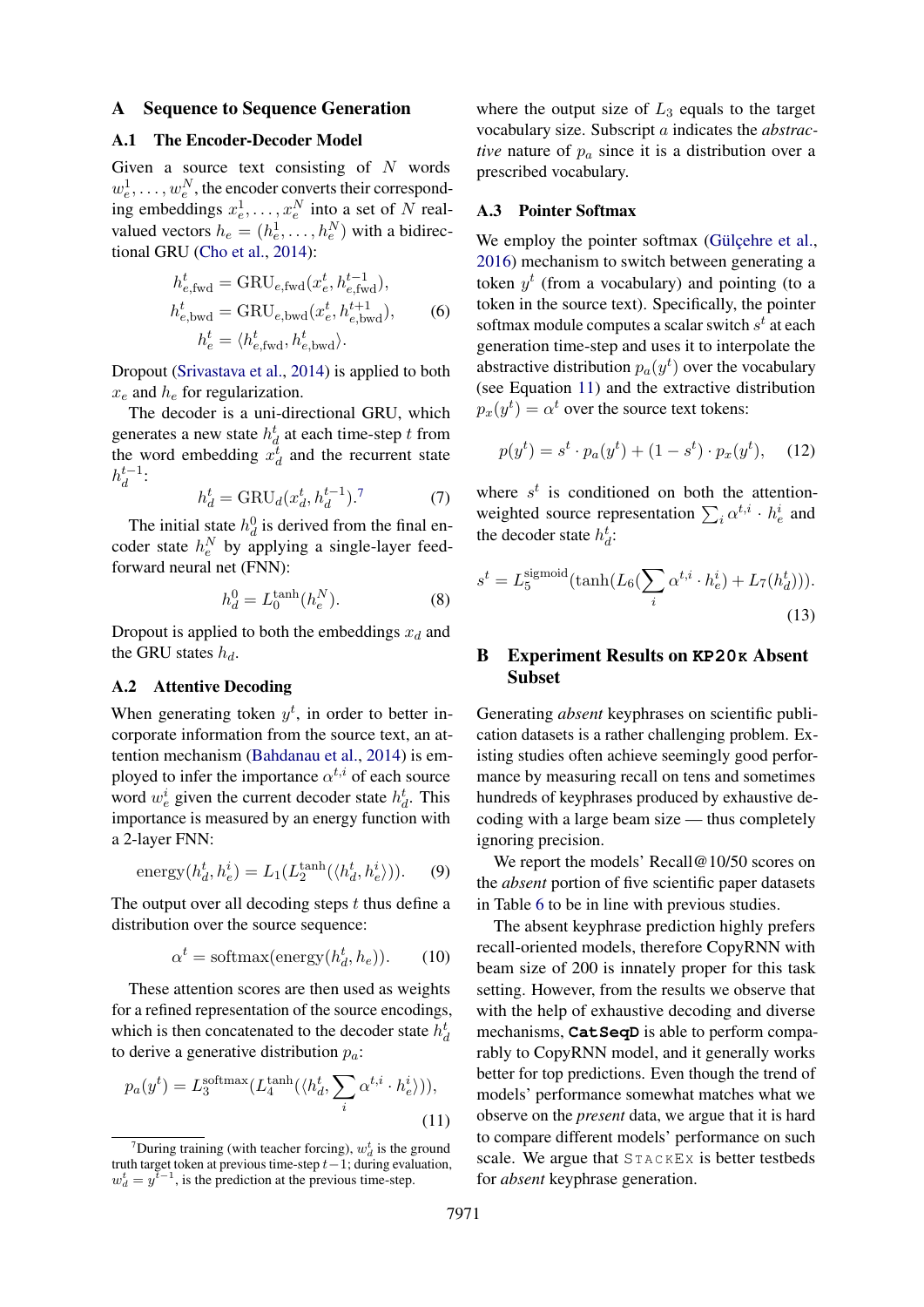#### <span id="page-10-0"></span>A Sequence to Sequence Generation

## A.1 The Encoder-Decoder Model

Given a source text consisting of  $N$  words  $w_e^1, \ldots, w_e^N$ , the encoder converts their corresponding embeddings  $x_e^1, \ldots, x_e^N$  into a set of N realvalued vectors  $h_e = (h_e^1, \dots, h_e^N)$  with a bidirectional GRU [\(Cho et al.,](#page-8-15) [2014\)](#page-8-15):

$$
h_{e,\text{fwd}}^t = \text{GRU}_{e,\text{fwd}}(x_e^t, h_{e,\text{fwd}}^{t-1}),
$$
  
\n
$$
h_{e,\text{bwd}}^t = \text{GRU}_{e,\text{bwd}}(x_e^t, h_{e,\text{bwd}}^{t+1}),
$$
  
\n
$$
h_e^t = \langle h_{e,\text{fwd}}^t, h_{e,\text{bwd}}^t \rangle.
$$
 (6)

Dropout [\(Srivastava et al.,](#page-9-27) [2014\)](#page-9-27) is applied to both  $x_e$  and  $h_e$  for regularization.

The decoder is a uni-directional GRU, which generates a new state  $h_d^t$  at each time-step t from the word embedding  $x_d^{\overline{t}}$  and the recurrent state  $h_d^{t-1}$  $\frac{t-1}{d}$ :

$$
h_d^t = \text{GRU}_d(x_d^t, h_d^{t-1}).^7 \tag{7}
$$

The initial state  $h_d^0$  is derived from the final encoder state  $h_e^N$  by applying a single-layer feedforward neural net (FNN):

$$
h_d^0 = L_0^{\tanh}(h_e^N). \tag{8}
$$

Dropout is applied to both the embeddings  $x_d$  and the GRU states  $h_d$ .

### A.2 Attentive Decoding

When generating token  $y^t$ , in order to better incorporate information from the source text, an attention mechanism [\(Bahdanau et al.,](#page-8-5) [2014\)](#page-8-5) is employed to infer the importance  $\alpha^{t,i}$  of each source word  $w_e^i$  given the current decoder state  $h_d^t$ . This importance is measured by an energy function with a 2-layer FNN:

energy
$$
(h_d^t, h_e^i) = L_1(L_2^{\text{tanh}}(\langle h_d^t, h_e^i \rangle)).
$$
 (9)

The output over all decoding steps  $t$  thus define a distribution over the source sequence:

$$
\alpha^t = \text{softmax}(\text{energy}(h_d^t, h_e)).\tag{10}
$$

These attention scores are then used as weights for a refined representation of the source encodings, which is then concatenated to the decoder state  $h_d^t$ to derive a generative distribution  $p_a$ :

$$
p_a(y^t) = L_3^{\text{softmax}}(L_4^{\text{tanh}}(\langle h_d^t, \sum_i \alpha^{t,i} \cdot h_e^i \rangle)),
$$
\n(11)

where the output size of  $L_3$  equals to the target vocabulary size. Subscript a indicates the *abstractive* nature of  $p_a$  since it is a distribution over a prescribed vocabulary.

#### A.3 Pointer Softmax

We employ the pointer softmax (Gülçehre et al., [2016\)](#page-8-6) mechanism to switch between generating a token  $y^t$  (from a vocabulary) and pointing (to a token in the source text). Specifically, the pointer softmax module computes a scalar switch  $s^t$  at each generation time-step and uses it to interpolate the abstractive distribution  $p_a(y^t)$  over the vocabulary (see Equation [11\)](#page-10-3) and the extractive distribution  $p_x(y^t) = \alpha^t$  over the source text tokens:

$$
p(y^{t}) = s^{t} \cdot p_{a}(y^{t}) + (1 - s^{t}) \cdot p_{x}(y^{t}), \quad (12)
$$

where  $s^t$  is conditioned on both the attentionweighted source representation  $\sum_i \alpha^{t,i} \cdot h_e^i$  and the decoder state  $h_d^t$ :

$$
s^{t} = L_5^{\text{sigmoid}}(\tanh(L_6(\sum_{i} \alpha^{t,i} \cdot h_e^i) + L_7(h_d^t))).
$$
\n(13)

# <span id="page-10-1"></span>B Experiment Results on **KP20K** Absent Subset

Generating *absent* keyphrases on scientific publication datasets is a rather challenging problem. Existing studies often achieve seemingly good performance by measuring recall on tens and sometimes hundreds of keyphrases produced by exhaustive decoding with a large beam size — thus completely ignoring precision.

We report the models' Recall@10/50 scores on the *absent* portion of five scientific paper datasets in Table [6](#page-11-3) to be in line with previous studies.

<span id="page-10-3"></span>The absent keyphrase prediction highly prefers recall-oriented models, therefore CopyRNN with beam size of 200 is innately proper for this task setting. However, from the results we observe that with the help of exhaustive decoding and diverse mechanisms, **CatSeqD** is able to perform comparably to CopyRNN model, and it generally works better for top predictions. Even though the trend of models' performance somewhat matches what we observe on the *present* data, we argue that it is hard to compare different models' performance on such scale. We argue that  $STACKEX$  is better testbeds for *absent* keyphrase generation.

<span id="page-10-2"></span><sup>&</sup>lt;sup>7</sup>During training (with teacher forcing),  $w_d^t$  is the ground truth target token at previous time-step  $t-1$ ; during evaluation,  $w_d^t = y^{\bar{t}-1}$ , is the prediction at the previous time-step.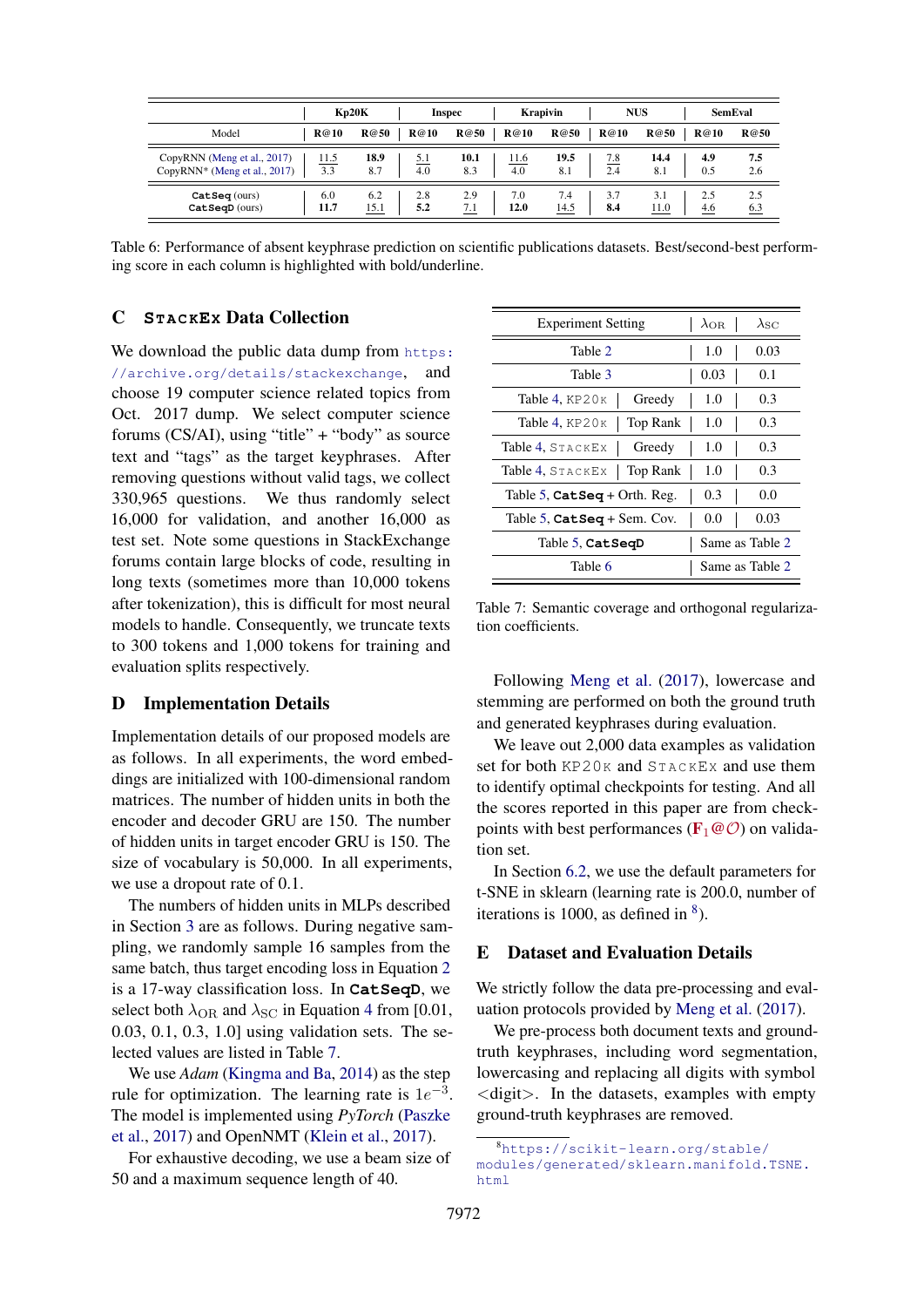<span id="page-11-3"></span>

|                                                             |             | Kp20K                      | Inspec      | <b>Krapivin</b>            | <b>NUS</b>  |             | <b>SemEval</b> |            |
|-------------------------------------------------------------|-------------|----------------------------|-------------|----------------------------|-------------|-------------|----------------|------------|
| Model                                                       | <b>R@10</b> | <b>R@50</b><br><b>R@10</b> | <b>R@50</b> | <b>R@10</b><br><b>R@50</b> | <b>R@10</b> | <b>R@50</b> | <b>R@10</b>    | R@50       |
| CopyRNN (Meng et al., 2017)<br>CopyRNN* (Meng et al., 2017) | 11.5<br>3.3 | 18.9<br>5.1<br>4.0<br>8.7  | 10.1<br>8.3 | 19.5<br>11.6<br>4.0<br>8.1 | 7.8<br>2.4  | 14.4<br>8.1 | 4.9<br>0.5     | 7.5<br>2.6 |
| CatSeq(ours)<br>$CatSeqD$ (ours)                            | 6.0<br>11.7 | 2.8<br>6.2<br>5.2<br>15.1  | 2.9<br>7.1  | 7.4<br>7.0<br>12.0<br>14.5 | 3.7<br>8.4  | 3.1<br>11.0 | 2.5<br>4.6     | 2.5<br>6.3 |

Table 6: Performance of absent keyphrase prediction on scientific publications datasets. Best/second-best performing score in each column is highlighted with bold/underline.

### <span id="page-11-2"></span>C **ST A C KEX** Data Collection

We download the public data dump from [https:](https://archive.org/details/stackexchange) [//archive.org/details/stackexchange](https://archive.org/details/stackexchange), and choose 19 computer science related topics from Oct. 2017 dump. We select computer science forums (CS/AI), using "title" + "body" as source text and "tags" as the target keyphrases. After removing questions without valid tags, we collect 330,965 questions. We thus randomly select 16,000 for validation, and another 16,000 as test set. Note some questions in StackExchange forums contain large blocks of code, resulting in long texts (sometimes more than 10,000 tokens after tokenization), this is difficult for most neural models to handle. Consequently, we truncate texts to 300 tokens and 1,000 tokens for training and evaluation splits respectively.

#### <span id="page-11-1"></span>D Implementation Details

Implementation details of our proposed models are as follows. In all experiments, the word embeddings are initialized with 100-dimensional random matrices. The number of hidden units in both the encoder and decoder GRU are 150. The number of hidden units in target encoder GRU is 150. The size of vocabulary is 50,000. In all experiments, we use a dropout rate of 0.1.

The numbers of hidden units in MLPs described in Section [3](#page-2-1) are as follows. During negative sampling, we randomly sample 16 samples from the same batch, thus target encoding loss in Equation [2](#page-3-2) is a 17-way classification loss. In **CatSeqD**, we select both  $\lambda_{\text{OR}}$  and  $\lambda_{\text{SC}}$  in Equation [4](#page-3-3) from [0.01, 0.03, 0.1, 0.3, 1.0] using validation sets. The selected values are listed in Table [7.](#page-11-4)

We use *Adam* [\(Kingma and Ba,](#page-8-16) [2014\)](#page-8-16) as the step rule for optimization. The learning rate is  $1e^{-3}$ . The model is implemented using *PyTorch* [\(Paszke](#page-9-28) [et al.,](#page-9-28) [2017\)](#page-9-28) and OpenNMT [\(Klein et al.,](#page-9-29) [2017\)](#page-9-29).

For exhaustive decoding, we use a beam size of 50 and a maximum sequence length of 40.

<span id="page-11-4"></span>

| <b>Experiment Setting</b>                        | $\lambda_{\rm OR}$ | $\lambda_{\mathrm{SC}}$ |
|--------------------------------------------------|--------------------|-------------------------|
| Table 2                                          | 1.0                | 0.03                    |
| Table 3                                          | 0.03               | 0.1                     |
| Table 4, $KP20K$<br>Greedy                       | 1.0                | 0.3                     |
| Table 4, $KP20K$<br>Top Rank                     | 1.0                | 0.3                     |
| Table 4, STACKEX<br>Greedy                       | 1.0                | 0.3                     |
| Table 4, STACKEX<br>Top Rank                     | 1.0                | 0.3                     |
| Table 5, $\texttt{CatSeq} + \text{Orth. Reg.}$   | 0.3                | 0.0                     |
| Table 5, $\texttt{CatSeq} + \texttt{Sem}$ . Cov. | 0.0                | 0.03                    |
| Table 5, CatSeqD                                 |                    | Same as Table 2         |
| Table 6                                          |                    | Same as Table 2         |

Table 7: Semantic coverage and orthogonal regularization coefficients.

Following [Meng et al.](#page-9-0) [\(2017\)](#page-9-0), lowercase and stemming are performed on both the ground truth and generated keyphrases during evaluation.

We leave out 2,000 data examples as validation set for both KP20K and STACKEX and use them to identify optimal checkpoints for testing. And all the scores reported in this paper are from checkpoints with best performances ( $\mathbf{F}_1 \mathcal{Q}(\mathcal{O})$ ) on validation set.

In Section [6.2,](#page-7-3) we use the default parameters for t-SNE in sklearn (learning rate is 200.0, number of iterations is 1000, as defined in  $\delta$ ).

### <span id="page-11-0"></span>E Dataset and Evaluation Details

We strictly follow the data pre-processing and evaluation protocols provided by [Meng et al.](#page-9-0) [\(2017\)](#page-9-0).

We pre-process both document texts and groundtruth keyphrases, including word segmentation, lowercasing and replacing all digits with symbol <digit>. In the datasets, examples with empty ground-truth keyphrases are removed.

<span id="page-11-5"></span><sup>8</sup>[https://scikit-learn.org/stable/](https://scikit-learn.org/stable/modules/generated/sklearn.manifold.TSNE.html) [modules/generated/sklearn.manifold.TSNE.](https://scikit-learn.org/stable/modules/generated/sklearn.manifold.TSNE.html) [html](https://scikit-learn.org/stable/modules/generated/sklearn.manifold.TSNE.html)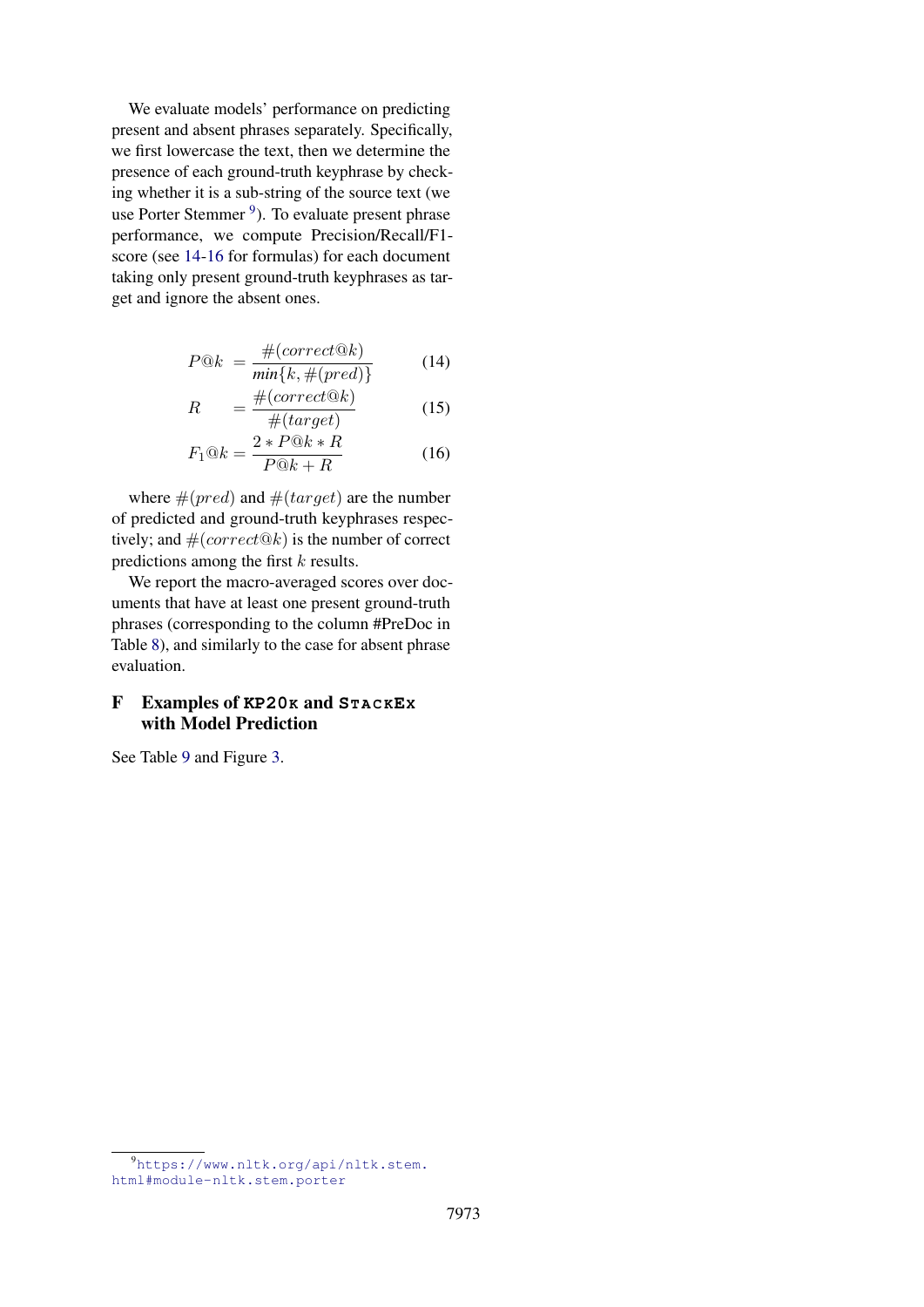We evaluate models' performance on predicting present and absent phrases separately. Specifically, we first lowercase the text, then we determine the presence of each ground-truth keyphrase by checking whether it is a sub-string of the source text (we use Porter Stemmer <sup>[9](#page-12-1)</sup>). To evaluate present phrase performance, we compute Precision/Recall/F1 score (see [14-16](#page-11-0) for formulas) for each document taking only present ground-truth keyphrases as target and ignore the absent ones.

$$
P@k = \frac{\#(correct@k)}{\min\{k, \#(pred)\}}\tag{14}
$$

$$
R = \frac{\#(correct@k)}{\#(target)} \tag{15}
$$

$$
F_1@k = \frac{2 * P@k * R}{P@k + R}
$$
 (16)

where  $\#(pred)$  and  $\#(target)$  are the number of predicted and ground-truth keyphrases respectively; and  $#(correct@k)$  is the number of correct predictions among the first  $k$  results.

We report the macro-averaged scores over documents that have at least one present ground-truth phrases (corresponding to the column #PreDoc in Table [8\)](#page-13-0), and similarly to the case for absent phrase evaluation.

# <span id="page-12-0"></span>F Examples of **KP20K** and **ST A C KEX** with Model Prediction

See Table [9](#page-13-1) and Figure [3.](#page-14-0)

<span id="page-12-1"></span><sup>9</sup>[https://www.nltk.org/api/nltk.stem.](https://www.nltk.org/api/nltk.stem.html#module-nltk.stem.porter) [html#module-nltk.stem.porter](https://www.nltk.org/api/nltk.stem.html#module-nltk.stem.porter)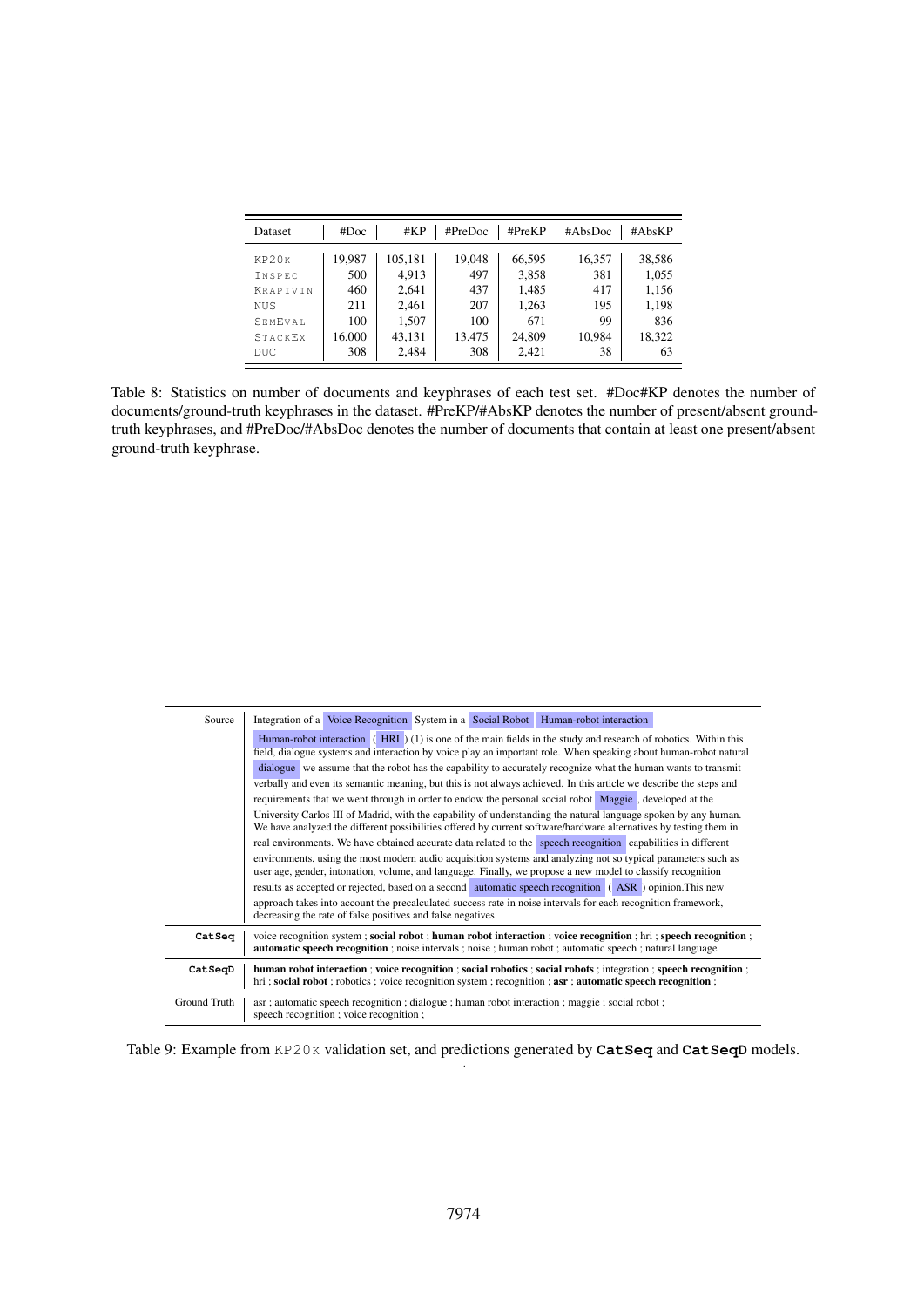<span id="page-13-0"></span>

| <b>Dataset</b>  | #Doc   | #KP     | #PreDoc | $\#PreKP$ | #AbsDoc | #AbsKP |
|-----------------|--------|---------|---------|-----------|---------|--------|
| KP20K           | 19.987 | 105,181 | 19.048  | 66.595    | 16,357  | 38,586 |
| INSPEC          | 500    | 4.913   | 497     | 3,858     | 381     | 1,055  |
| <b>KRAPTVIN</b> | 460    | 2,641   | 437     | 1,485     | 417     | 1,156  |
| NUS             | 211    | 2,461   | 207     | 1,263     | 195     | 1,198  |
| SEMEVAL         | 100    | 1.507   | 100     | 671       | 99      | 836    |
| STACKEX         | 16,000 | 43,131  | 13,475  | 24,809    | 10.984  | 18,322 |
| DUC             | 308    | 2,484   | 308     | 2.421     | 38      | 63     |

Table 8: Statistics on number of documents and keyphrases of each test set. #Doc#KP denotes the number of documents/ground-truth keyphrases in the dataset. #PreKP/#AbsKP denotes the number of present/absent groundtruth keyphrases, and #PreDoc/#AbsDoc denotes the number of documents that contain at least one present/absent ground-truth keyphrase.

<span id="page-13-1"></span>

| Source       | Integration of a Voice Recognition System in a Social Robot Human-robot interaction                                                                                                                                                  |  |  |  |  |  |  |  |
|--------------|--------------------------------------------------------------------------------------------------------------------------------------------------------------------------------------------------------------------------------------|--|--|--|--|--|--|--|
|              | Human-robot interaction $(HRI)(1)$ is one of the main fields in the study and research of robotics. Within this<br>field, dialogue systems and interaction by voice play an important role. When speaking about human-robot natural  |  |  |  |  |  |  |  |
|              | dialogue we assume that the robot has the capability to accurately recognize what the human wants to transmit                                                                                                                        |  |  |  |  |  |  |  |
|              | verbally and even its semantic meaning, but this is not always achieved. In this article we describe the steps and                                                                                                                   |  |  |  |  |  |  |  |
|              | requirements that we went through in order to endow the personal social robot Maggie, developed at the                                                                                                                               |  |  |  |  |  |  |  |
|              | University Carlos III of Madrid, with the capability of understanding the natural language spoken by any human.<br>We have analyzed the different possibilities offered by current software/hardware alternatives by testing them in |  |  |  |  |  |  |  |
|              | real environments. We have obtained accurate data related to the speech recognition capabilities in different                                                                                                                        |  |  |  |  |  |  |  |
|              | environments, using the most modern audio acquisition systems and analyzing not so typical parameters such as<br>user age, gender, intonation, volume, and language. Finally, we propose a new model to classify recognition         |  |  |  |  |  |  |  |
|              | results as accepted or rejected, based on a second automatic speech recognition (ASR) opinion. This new                                                                                                                              |  |  |  |  |  |  |  |
|              | approach takes into account the precalculated success rate in noise intervals for each recognition framework,<br>decreasing the rate of false positives and false negatives.                                                         |  |  |  |  |  |  |  |
| CatSeq       | voice recognition system; social robot; human robot interaction; voice recognition; hri; speech recognition;<br><b>automatic speech recognition</b> ; noise intervals; noise; human robot; automatic speech; natural language        |  |  |  |  |  |  |  |
| CatSeqD      | human robot interaction; voice recognition; social robotics; social robots; integration; speech recognition;<br>hri; social robot; robotics; voice recognition system; recognition; asr; automatic speech recognition;               |  |  |  |  |  |  |  |
| Ground Truth | asr; automatic speech recognition; dialogue; human robot interaction; maggie; social robot;<br>speech recognition; voice recognition;                                                                                                |  |  |  |  |  |  |  |

Table 9: Example from KP20K validation set, and predictions generated by CatSeq and CatSeqD models. .